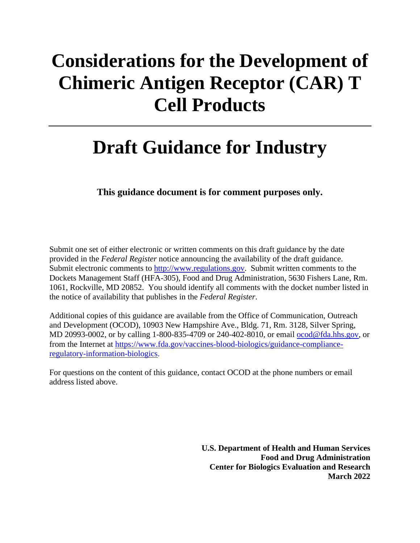# **Considerations for the Development of Chimeric Antigen Receptor (CAR) T Cell Products**

# **Draft Guidance for Industry**

**This guidance document is for comment purposes only.**

Submit one set of either electronic or written comments on this draft guidance by the date provided in the *Federal Register* notice announcing the availability of the draft guidance. Submit electronic comments to [http://www.regulations.gov.](http://www.regulations.gov/) Submit written comments to the Dockets Management Staff (HFA-305), Food and Drug Administration, 5630 Fishers Lane, Rm. 1061, Rockville, MD 20852. You should identify all comments with the docket number listed in the notice of availability that publishes in the *Federal Register*.

Additional copies of this guidance are available from the Office of Communication, Outreach and Development (OCOD), 10903 New Hampshire Ave., Bldg. 71, Rm. 3128, Silver Spring, MD 20993-0002, or by calling 1-800-835-4709 or 240-402-8010, or email [ocod@fda.hhs.gov,](mailto:ocod@fda.hhs.gov) or from the Internet at [https://www.fda.gov/vaccines-blood-biologics/guidance-compliance](https://www.fda.gov/vaccines-blood-biologics/guidance-compliance-regulatory-information-biologics)[regulatory-information-biologics.](https://www.fda.gov/vaccines-blood-biologics/guidance-compliance-regulatory-information-biologics)

For questions on the content of this guidance, contact OCOD at the phone numbers or email address listed above.

> **U.S. Department of Health and Human Services Food and Drug Administration Center for Biologics Evaluation and Research March 2022**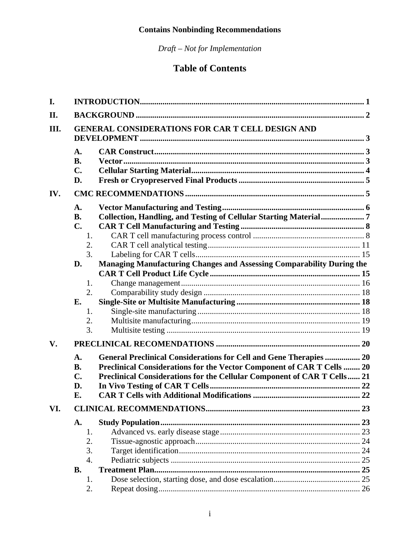*Draft – Not for Implementation*

# **Table of Contents**

| I.   |                                                                                               |                                                                                                                                                                                                                         |  |
|------|-----------------------------------------------------------------------------------------------|-------------------------------------------------------------------------------------------------------------------------------------------------------------------------------------------------------------------------|--|
| II.  |                                                                                               |                                                                                                                                                                                                                         |  |
| III. | <b>GENERAL CONSIDERATIONS FOR CAR T CELL DESIGN AND</b>                                       |                                                                                                                                                                                                                         |  |
|      | $\mathbf{A}$ .<br><b>B.</b><br>$\mathbf{C}$ .<br>D.                                           |                                                                                                                                                                                                                         |  |
| IV.  |                                                                                               |                                                                                                                                                                                                                         |  |
|      | A.<br><b>B.</b><br>$\mathbf{C}$ .<br>1.<br>2.<br>3.<br>D.<br>1.<br>2.<br>E.<br>1.<br>2.<br>3. | Managing Manufacturing Changes and Assessing Comparability During the                                                                                                                                                   |  |
| V.   |                                                                                               |                                                                                                                                                                                                                         |  |
|      | A.<br><b>B.</b><br>$\mathbf{C}$ .<br>D.<br>E.                                                 | General Preclinical Considerations for Cell and Gene Therapies  20<br>Preclinical Considerations for the Vector Component of CAR T Cells  20<br>Preclinical Considerations for the Cellular Component of CAR T Cells 21 |  |
| VI.  |                                                                                               |                                                                                                                                                                                                                         |  |
|      | A.<br>1.<br>2.<br>3.<br>$\overline{4}$ .<br><b>B.</b>                                         |                                                                                                                                                                                                                         |  |
|      | 1.                                                                                            |                                                                                                                                                                                                                         |  |
|      | 2.                                                                                            |                                                                                                                                                                                                                         |  |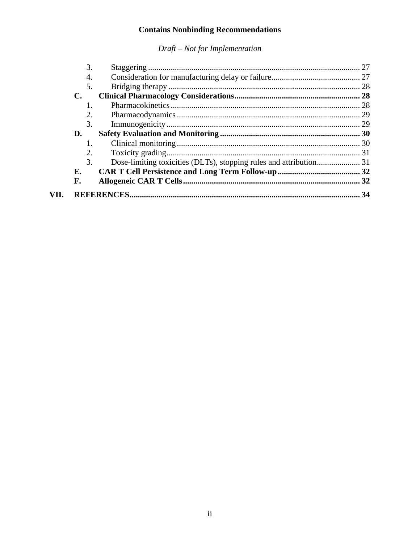|     | 3.               |  |
|-----|------------------|--|
|     | $\overline{4}$ . |  |
|     | 5.               |  |
|     | <b>C.</b>        |  |
|     |                  |  |
|     | 2.               |  |
|     | 3.               |  |
|     | D.               |  |
|     |                  |  |
|     | 2.               |  |
|     | 3.               |  |
|     | Е.               |  |
|     | F.               |  |
| VН. |                  |  |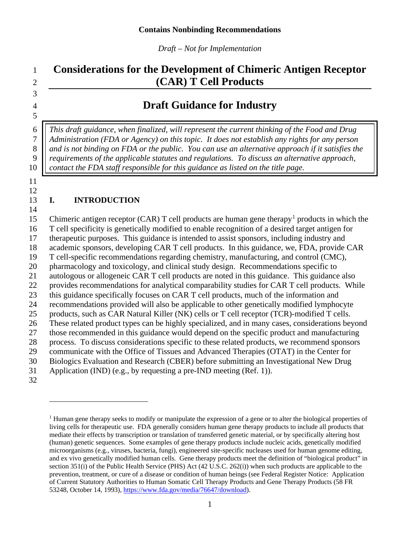*Draft – Not for Implementation*

# **Considerations for the Development of Chimeric Antigen Receptor (CAR) T Cell Products**

## **Draft Guidance for Industry**

 *This draft guidance, when finalized, will represent the current thinking of the Food and Drug Administration (FDA or Agency) on this topic. It does not establish any rights for any person*  8 || and is not binding on FDA or the public. You can use an alternative approach if it satisfies the *requirements of the applicable statutes and regulations. To discuss an alternative approach, contact the FDA staff responsible for this guidance as listed on the title page.* 

 

#### <span id="page-3-0"></span>**I. INTRODUCTION**

5 Chimeric antigen receptor (CAR) T cell products are human gene therapy<sup>1</sup> products in which the T cell specificity is genetically modified to enable recognition of a desired target antigen for therapeutic purposes. This guidance is intended to assist sponsors, including industry and academic sponsors, developing CAR T cell products. In this guidance, we, FDA, provide CAR T cell-specific recommendations regarding chemistry, manufacturing, and control (CMC), pharmacology and toxicology, and clinical study design. Recommendations specific to autologous or allogeneic CAR T cell products are noted in this guidance. This guidance also provides recommendations for analytical comparability studies for CAR T cell products. While this guidance specifically focuses on CAR T cell products, much of the information and recommendations provided will also be applicable to other genetically modified lymphocyte products, such as CAR Natural Killer (NK) cells or T cell receptor (TCR)-modified T cells. These related product types can be highly specialized, and in many cases, considerations beyond those recommended in this guidance would depend on the specific product and manufacturing process. To discuss considerations specific to these related products, we recommend sponsors communicate with the Office of Tissues and Advanced Therapies (OTAT) in the Center for Biologics Evaluation and Research (CBER) before submitting an Investigational New Drug Application (IND) (e.g., by requesting a pre-IND meeting (Ref. 1)).

<span id="page-3-1"></span>

<sup>&</sup>lt;sup>1</sup> Human gene therapy seeks to modify or manipulate the expression of a gene or to alter the biological properties of living cells for therapeutic use. FDA generally considers human gene therapy products to include all products that mediate their effects by transcription or translation of transferred genetic material, or by specifically altering host (human) genetic sequences. Some examples of gene therapy products include nucleic acids, genetically modified microorganisms (e.g., viruses, bacteria, fungi), engineered site-specific nucleases used for human genome editing, and ex vivo genetically modified human cells. Gene therapy products meet the definition of "biological product" in section 351(i) of the Public Health Service (PHS) Act (42 U.S.C. 262(i)) when such products are applicable to the prevention, treatment, or cure of a disease or condition of human beings (see Federal Register Notice: Application of Current Statutory Authorities to Human Somatic Cell Therapy Products and Gene Therapy Products (58 FR 53248, October 14, 1993), [https://www.fda.gov/media/76647/download\)](https://www.fda.gov/media/76647/download).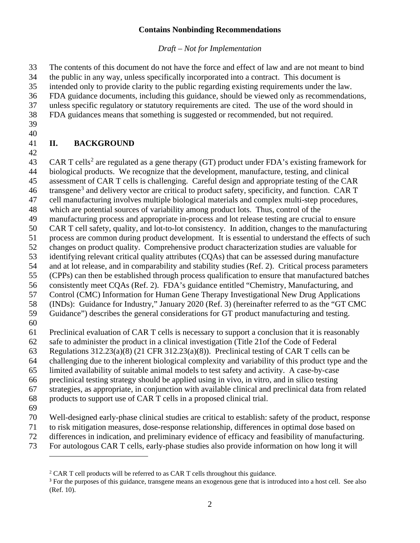*Draft – Not for Implementation*

The contents of this document do not have the force and effect of law and are not meant to bind

the public in any way, unless specifically incorporated into a contract. This document is

intended only to provide clarity to the public regarding existing requirements under the law.

FDA guidance documents, including this guidance, should be viewed only as recommendations,

unless specific regulatory or statutory requirements are cited. The use of the word should in

- FDA guidances means that something is suggested or recommended, but not required.
- 

#### <span id="page-4-0"></span> **II. BACKGROUND**

43 CAR T cells<sup>[2](#page-4-1)</sup> are regulated as a gene therapy (GT) product under FDA's existing framework for biological products. We recognize that the development, manufacture, testing, and clinical

assessment of CAR T cells is challenging. Careful design and appropriate testing of the CAR

46 transgene<sup>[3](#page-4-2)</sup> and delivery vector are critical to product safety, specificity, and function. CAR T

cell manufacturing involves multiple biological materials and complex multi-step procedures,

which are potential sources of variability among product lots. Thus, control of the

manufacturing process and appropriate in-process and lot release testing are crucial to ensure

CAR T cell safety, quality, and lot-to-lot consistency. In addition, changes to the manufacturing

process are common during product development. It is essential to understand the effects of such

changes on product quality. Comprehensive product characterization studies are valuable for

 identifying relevant critical quality attributes (CQAs) that can be assessed during manufacture and at lot release, and in comparability and stability studies (Ref. 2). Critical process parameters

(CPPs) can then be established through process qualification to ensure that manufactured batches

consistently meet CQAs (Ref. 2). FDA's guidance entitled "Chemistry, Manufacturing, and

Control (CMC) Information for Human Gene Therapy Investigational New Drug Applications

(INDs): Guidance for Industry," January 2020 (Ref. 3) (hereinafter referred to as the "GT CMC

Guidance") describes the general considerations for GT product manufacturing and testing.

Preclinical evaluation of CAR T cells is necessary to support a conclusion that it is reasonably

safe to administer the product in a clinical investigation (Title 21of the Code of Federal

Regulations 312.23(a)(8) (21 CFR 312.23(a)(8)). Preclinical testing of CAR T cells can be

challenging due to the inherent biological complexity and variability of this product type and the

limited availability of suitable animal models to test safety and activity. A case-by-case

preclinical testing strategy should be applied using in vivo, in vitro, and in silico testing

strategies, as appropriate, in conjunction with available clinical and preclinical data from related

products to support use of CAR T cells in a proposed clinical trial.

Well-designed early-phase clinical studies are critical to establish: safety of the product, response

- to risk mitigation measures, dose-response relationship, differences in optimal dose based on
- differences in indication, and preliminary evidence of efficacy and feasibility of manufacturing.
- <span id="page-4-2"></span><span id="page-4-1"></span>For autologous CAR T cells, early-phase studies also provide information on how long it will

<sup>&</sup>lt;sup>2</sup> CAR T cell products will be referred to as CAR T cells throughout this guidance.

<sup>&</sup>lt;sup>3</sup> For the purposes of this guidance, transgene means an exogenous gene that is introduced into a host cell. See also (Ref. 10).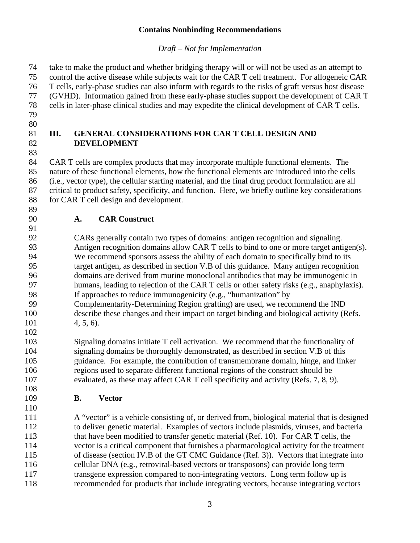*Draft – Not for Implementation*

 take to make the product and whether bridging therapy will or will not be used as an attempt to control the active disease while subjects wait for the CAR T cell treatment. For allogeneic CAR T cells, early-phase studies can also inform with regards to the risks of graft versus host disease (GVHD). Information gained from these early-phase studies support the development of CAR T cells in later-phase clinical studies and may expedite the clinical development of CAR T cells. 

#### <span id="page-5-0"></span> **III. GENERAL CONSIDERATIONS FOR CAR T CELL DESIGN AND DEVELOPMENT**

 CAR T cells are complex products that may incorporate multiple functional elements. The nature of these functional elements, how the functional elements are introduced into the cells (i.e., vector type), the cellular starting material, and the final drug product formulation are all critical to product safety, specificity, and function. Here, we briefly outline key considerations 88 for CAR T cell design and development.

# <span id="page-5-1"></span>**A. CAR Construct**

 CARs generally contain two types of domains: antigen recognition and signaling. Antigen recognition domains allow CAR T cells to bind to one or more target antigen(s). We recommend sponsors assess the ability of each domain to specifically bind to its target antigen, as described in section V.B of this guidance. Many antigen recognition domains are derived from murine monoclonal antibodies that may be immunogenic in 97 humans, leading to rejection of the CAR T cells or other safety risks (e.g., anaphylaxis). If approaches to reduce immunogenicity (e.g., "humanization" by Complementarity-Determining Region grafting) are used, we recommend the IND describe these changes and their impact on target binding and biological activity (Refs. 4, 5, 6).

 Signaling domains initiate T cell activation. We recommend that the functionality of signaling domains be thoroughly demonstrated, as described in section V.B of this guidance. For example, the contribution of transmembrane domain, hinge, and linker regions used to separate different functional regions of the construct should be evaluated, as these may affect CAR T cell specificity and activity (Refs. 7, 8, 9).

<span id="page-5-2"></span>**B. Vector**

 A "vector" is a vehicle consisting of, or derived from, biological material that is designed to deliver genetic material. Examples of vectors include plasmids, viruses, and bacteria 113 that have been modified to transfer genetic material (Ref. 10). For CAR T cells, the vector is a critical component that furnishes a pharmacological activity for the treatment of disease (section IV.B of the GT CMC Guidance (Ref. 3)). Vectors that integrate into cellular DNA (e.g., retroviral-based vectors or transposons) can provide long term transgene expression compared to non-integrating vectors. Long term follow up is recommended for products that include integrating vectors, because integrating vectors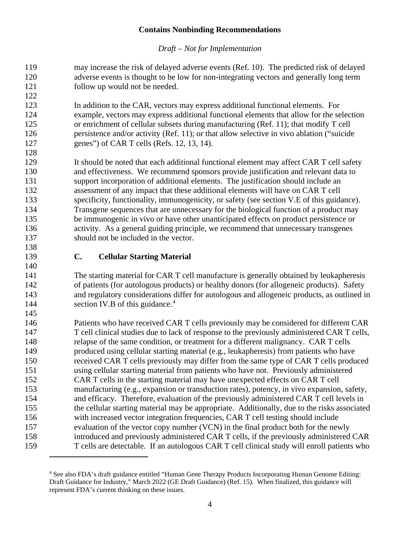*Draft – Not for Implementation*

 may increase the risk of delayed adverse events (Ref. 10). The predicted risk of delayed adverse events is thought to be low for non-integrating vectors and generally long term follow up would not be needed.

 In addition to the CAR, vectors may express additional functional elements. For example, vectors may express additional functional elements that allow for the selection or enrichment of cellular subsets during manufacturing (Ref. 11); that modify T cell persistence and/or activity (Ref. 11); or that allow selective in vivo ablation ("suicide genes") of CAR T cells (Refs. 12, 13, 14).

129 It should be noted that each additional functional element may affect CAR T cell safety and effectiveness. We recommend sponsors provide justification and relevant data to support incorporation of additional elements. The justification should include an assessment of any impact that these additional elements will have on CAR T cell specificity, functionality, immunogenicity, or safety (see section V.E of this guidance). Transgene sequences that are unnecessary for the biological function of a product may be immunogenic in vivo or have other unanticipated effects on product persistence or activity. As a general guiding principle, we recommend that unnecessary transgenes should not be included in the vector.

 

### <span id="page-6-0"></span>**C. Cellular Starting Material**

 The starting material for CAR T cell manufacture is generally obtained by leukapheresis of patients (for autologous products) or healthy donors (for allogeneic products). Safety and regulatory considerations differ for autologous and allogeneic products, as outlined in [4](#page-6-1)4 section IV.B of this guidance.<sup>4</sup>

 Patients who have received CAR T cells previously may be considered for different CAR T cell clinical studies due to lack of response to the previously administered CAR T cells, relapse of the same condition, or treatment for a different malignancy. CAR T cells produced using cellular starting material (e.g., leukapheresis) from patients who have received CAR T cells previously may differ from the same type of CAR T cells produced using cellular starting material from patients who have not. Previously administered CAR T cells in the starting material may have unexpected effects on CAR T cell manufacturing (e.g., expansion or transduction rates), potency, in vivo expansion, safety, and efficacy. Therefore, evaluation of the previously administered CAR T cell levels in the cellular starting material may be appropriate. Additionally, due to the risks associated with increased vector integration frequencies, CAR T cell testing should include evaluation of the vector copy number (VCN) in the final product both for the newly introduced and previously administered CAR T cells, if the previously administered CAR T cells are detectable. If an autologous CAR T cell clinical study will enroll patients who

<span id="page-6-1"></span> See also FDA's draft guidance entitled "Human Gene Therapy Products Incorporating Human Genome Editing: Draft Guidance for Industry," March 2022 (GE Draft Guidance) (Ref. 15). When finalized, this guidance will represent FDA's current thinking on these issues.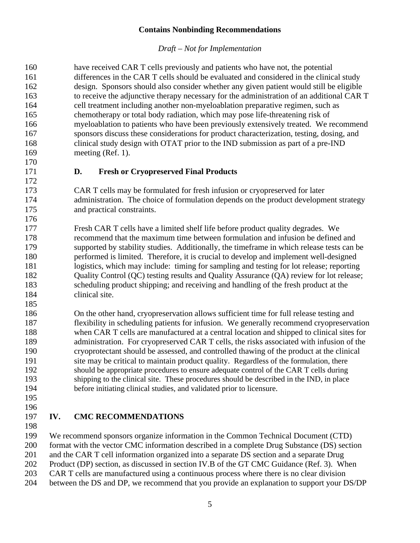#### *Draft – Not for Implementation*

<span id="page-7-0"></span>

| 160 | have received CAR T cells previously and patients who have not, the potential             |
|-----|-------------------------------------------------------------------------------------------|
| 161 | differences in the CAR T cells should be evaluated and considered in the clinical study   |
| 162 | design. Sponsors should also consider whether any given patient would still be eligible   |
| 163 | to receive the adjunctive therapy necessary for the administration of an additional CAR T |
| 164 | cell treatment including another non-myeloablation preparative regimen, such as           |
| 165 | chemotherapy or total body radiation, which may pose life-threatening risk of             |
| 166 | myeloablation to patients who have been previously extensively treated. We recommend      |
| 167 | sponsors discuss these considerations for product characterization, testing, dosing, and  |
| 168 | clinical study design with OTAT prior to the IND submission as part of a pre-IND          |
| 169 | meeting $(Ref. 1)$ .                                                                      |
| 170 |                                                                                           |
| 171 | <b>Fresh or Cryopreserved Final Products</b><br>D.                                        |
| 172 |                                                                                           |
| 173 | CAR T cells may be formulated for fresh infusion or cryopreserved for later               |
| 174 | administration. The choice of formulation depends on the product development strategy     |
| 175 | and practical constraints.                                                                |
| 176 |                                                                                           |
| 177 | Fresh CAR T cells have a limited shelf life before product quality degrades. We           |
| 178 | recommend that the maximum time between formulation and infusion be defined and           |
| 179 | supported by stability studies. Additionally, the timeframe in which release tests can be |
| 180 | performed is limited. Therefore, it is crucial to develop and implement well-designed     |
| 181 | logistics, which may include: timing for sampling and testing for lot release; reporting  |
| 182 | Quality Control (QC) testing results and Quality Assurance (QA) review for lot release;   |
| 183 | scheduling product shipping; and receiving and handling of the fresh product at the       |
| 184 | clinical site.                                                                            |
| 185 |                                                                                           |
| 186 | On the other hand, cryopreservation allows sufficient time for full release testing and   |
| 187 | flexibility in scheduling patients for infusion. We generally recommend cryopreservation  |
| 188 | when CAR T cells are manufactured at a central location and shipped to clinical sites for |
| 189 | administration. For cryopreserved CAR T cells, the risks associated with infusion of the  |
| 190 | cryoprotectant should be assessed, and controlled thawing of the product at the clinical  |
| 191 | site may be critical to maintain product quality. Regardless of the formulation, there    |

- shipping to the clinical site. These procedures should be described in the IND, in place before initiating clinical studies, and validated prior to licensure.
- 

#### <span id="page-7-1"></span> **IV. CMC RECOMMENDATIONS**

 We recommend sponsors organize information in the Common Technical Document (CTD) format with the vector CMC information described in a complete Drug Substance (DS) section and the CAR T cell information organized into a separate DS section and a separate Drug

should be appropriate procedures to ensure adequate control of the CAR T cells during

Product (DP) section, as discussed in section IV.B of the GT CMC Guidance (Ref. 3). When

- CAR T cells are manufactured using a continuous process where there is no clear division
- between the DS and DP, we recommend that you provide an explanation to support your DS/DP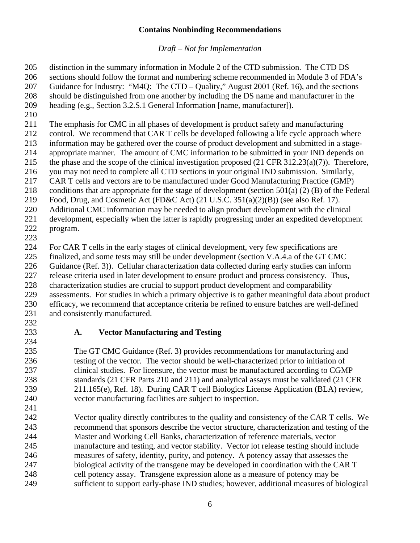*Draft – Not for Implementation*

 distinction in the summary information in Module 2 of the CTD submission. The CTD DS sections should follow the format and numbering scheme recommended in Module 3 of FDA's Guidance for Industry: "M4Q: The CTD – Quality," August 2001 (Ref. 16), and the sections should be distinguished from one another by including the DS name and manufacturer in the heading (e.g., Section 3.2.S.1 General Information [name, manufacturer]).

The emphasis for CMC in all phases of development is product safety and manufacturing

212 control. We recommend that CAR T cells be developed following a life cycle approach where<br>213 information may be gathered over the course of product development and submitted in a stage-

information may be gathered over the course of product development and submitted in a stage-

 appropriate manner. The amount of CMC information to be submitted in your IND depends on the phase and the scope of the clinical investigation proposed (21 CFR 312.23(a)(7)). Therefore,

you may not need to complete all CTD sections in your original IND submission. Similarly,

CAR T cells and vectors are to be manufactured under Good Manufacturing Practice (GMP)

conditions that are appropriate for the stage of development (section 501(a) (2) (B) of the Federal

Food, Drug, and Cosmetic Act (FD&C Act) (21 U.S.C. 351(a)(2)(B)) (see also Ref. 17).

Additional CMC information may be needed to align product development with the clinical

development, especially when the latter is rapidly progressing under an expedited development

 program. 

For CAR T cells in the early stages of clinical development, very few specifications are

finalized, and some tests may still be under development (section V.A.4.a of the GT CMC

Guidance (Ref. 3)). Cellular characterization data collected during early studies can inform

release criteria used in later development to ensure product and process consistency. Thus,

characterization studies are crucial to support product development and comparability

 assessments. For studies in which a primary objective is to gather meaningful data about product efficacy, we recommend that acceptance criteria be refined to ensure batches are well-defined

- and consistently manufactured.
- 

# 

# <span id="page-8-0"></span>**A. Vector Manufacturing and Testing**

 The GT CMC Guidance (Ref. 3) provides recommendations for manufacturing and testing of the vector. The vector should be well-characterized prior to initiation of clinical studies. For licensure, the vector must be manufactured according to CGMP 238 standards (21 CFR Parts 210 and 211) and analytical assays must be validated (21 CFR 211.165(e), Ref. 18). During CAR T cell Biologics License Application (BLA) review, vector manufacturing facilities are subject to inspection.

 Vector quality directly contributes to the quality and consistency of the CAR T cells. We recommend that sponsors describe the vector structure, characterization and testing of the Master and Working Cell Banks, characterization of reference materials, vector manufacture and testing, and vector stability. Vector lot release testing should include measures of safety, identity, purity, and potency. A potency assay that assesses the biological activity of the transgene may be developed in coordination with the CAR T cell potency assay. Transgene expression alone as a measure of potency may be sufficient to support early-phase IND studies; however, additional measures of biological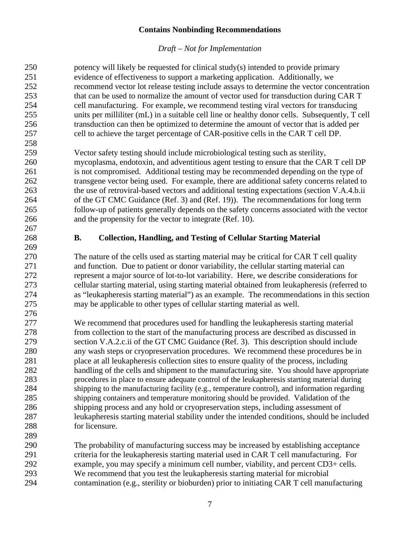<span id="page-9-0"></span>

| 250 | potency will likely be requested for clinical study(s) intended to provide primary             |
|-----|------------------------------------------------------------------------------------------------|
| 251 | evidence of effectiveness to support a marketing application. Additionally, we                 |
| 252 | recommend vector lot release testing include assays to determine the vector concentration      |
| 253 | that can be used to normalize the amount of vector used for transduction during CAR T          |
| 254 | cell manufacturing. For example, we recommend testing viral vectors for transducing            |
| 255 | units per milliliter (mL) in a suitable cell line or healthy donor cells. Subsequently, T cell |
| 256 | transduction can then be optimized to determine the amount of vector that is added per         |
| 257 | cell to achieve the target percentage of CAR-positive cells in the CAR T cell DP.              |
| 258 |                                                                                                |
| 259 | Vector safety testing should include microbiological testing such as sterility,                |
| 260 | mycoplasma, endotoxin, and adventitious agent testing to ensure that the CAR T cell DP         |
| 261 | is not compromised. Additional testing may be recommended depending on the type of             |
| 262 | transgene vector being used. For example, there are additional safety concerns related to      |
|     |                                                                                                |
| 263 | the use of retroviral-based vectors and additional testing expectations (section V.A.4.b.ii)   |
| 264 | of the GT CMC Guidance (Ref. 3) and (Ref. 19)). The recommendations for long term              |
| 265 | follow-up of patients generally depends on the safety concerns associated with the vector      |
| 266 | and the propensity for the vector to integrate (Ref. 10).                                      |
| 267 |                                                                                                |
| 268 | <b>Collection, Handling, and Testing of Cellular Starting Material</b><br><b>B.</b>            |
| 269 |                                                                                                |
| 270 | The nature of the cells used as starting material may be critical for CAR T cell quality       |
| 271 | and function. Due to patient or donor variability, the cellular starting material can          |
| 272 | represent a major source of lot-to-lot variability. Here, we describe considerations for       |
| 273 | cellular starting material, using starting material obtained from leukapheresis (referred to   |
| 274 | as "leukapheresis starting material") as an example. The recommendations in this section       |
| 275 | may be applicable to other types of cellular starting material as well.                        |
| 276 |                                                                                                |
| 277 | We recommend that procedures used for handling the leukapheresis starting material             |
| 278 | from collection to the start of the manufacturing process are described as discussed in        |
| 279 | section V.A.2.c.ii of the GT CMC Guidance (Ref. 3). This description should include            |
| 280 | any wash steps or cryopreservation procedures. We recommend these procedures be in             |
| 281 | place at all leukapheresis collection sites to ensure quality of the process, including        |
| 282 | handling of the cells and shipment to the manufacturing site. You should have appropriate      |
| 283 | procedures in place to ensure adequate control of the leukapheresis starting material during   |
| 284 | shipping to the manufacturing facility (e.g., temperature control), and information regarding  |
| 285 | shipping containers and temperature monitoring should be provided. Validation of the           |
| 286 | shipping process and any hold or cryopreservation steps, including assessment of               |
| 287 | leukapheresis starting material stability under the intended conditions, should be included    |
| 288 | for licensure.                                                                                 |
| 289 |                                                                                                |
| 290 | The probability of manufacturing success may be increased by establishing acceptance           |
| 291 | criteria for the leukapheresis starting material used in CAR T cell manufacturing. For         |
| 292 | example, you may specify a minimum cell number, viability, and percent CD3+ cells.             |
| 293 | We recommend that you test the leukapheresis starting material for microbial                   |
| 294 | contamination (e.g., sterility or bioburden) prior to initiating CAR T cell manufacturing      |
|     |                                                                                                |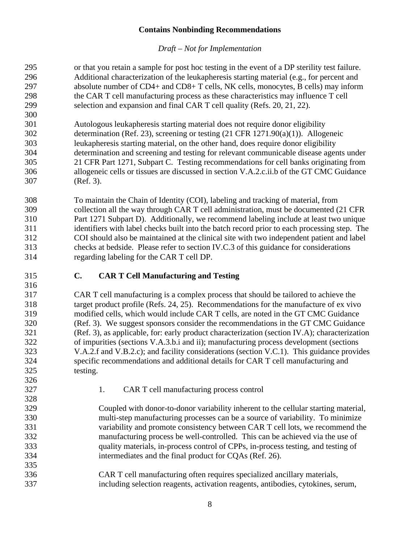<span id="page-10-1"></span><span id="page-10-0"></span>

| 295 | or that you retain a sample for post hoc testing in the event of a DP sterility test failure. |
|-----|-----------------------------------------------------------------------------------------------|
| 296 | Additional characterization of the leukapheresis starting material (e.g., for percent and     |
| 297 | absolute number of CD4+ and CD8+ T cells, NK cells, monocytes, B cells) may inform            |
| 298 | the CAR T cell manufacturing process as these characteristics may influence T cell            |
| 299 | selection and expansion and final CAR T cell quality (Refs. 20, 21, 22).                      |
| 300 |                                                                                               |
| 301 | Autologous leukapheresis starting material does not require donor eligibility                 |
| 302 | determination (Ref. 23), screening or testing $(21 \text{ CFR } 1271.90(a)(1))$ . Allogeneic  |
| 303 | leukapheresis starting material, on the other hand, does require donor eligibility            |
| 304 | determination and screening and testing for relevant communicable disease agents under        |
| 305 | 21 CFR Part 1271, Subpart C. Testing recommendations for cell banks originating from          |
| 306 | allogeneic cells or tissues are discussed in section V.A.2.c.ii.b of the GT CMC Guidance      |
| 307 | (Ref. 3).                                                                                     |
| 308 | To maintain the Chain of Identity (COI), labeling and tracking of material, from              |
| 309 | collection all the way through CAR T cell administration, must be documented (21 CFR          |
| 310 | Part 1271 Subpart D). Additionally, we recommend labeling include at least two unique         |
| 311 | identifiers with label checks built into the batch record prior to each processing step. The  |
| 312 | COI should also be maintained at the clinical site with two independent patient and label     |
| 313 | checks at bedside. Please refer to section IV.C.3 of this guidance for considerations         |
| 314 | regarding labeling for the CAR T cell DP.                                                     |
| 315 | $\mathbf{C}$ .<br><b>CAR T Cell Manufacturing and Testing</b>                                 |
| 316 |                                                                                               |
|     |                                                                                               |
| 317 | CAR T cell manufacturing is a complex process that should be tailored to achieve the          |
| 318 | target product profile (Refs. 24, 25). Recommendations for the manufacture of ex vivo         |
| 319 | modified cells, which would include CAR T cells, are noted in the GT CMC Guidance             |
| 320 | (Ref. 3). We suggest sponsors consider the recommendations in the GT CMC Guidance             |
| 321 | (Ref. 3), as applicable, for: early product characterization (section IV.A); characterization |
| 322 | of impurities (sections V.A.3.b.i and ii); manufacturing process development (sections        |
| 323 | V.A.2.f and V.B.2.c); and facility considerations (section V.C.1). This guidance provides     |
| 324 | specific recommendations and additional details for CAR T cell manufacturing and              |
| 325 | testing.                                                                                      |
| 326 |                                                                                               |
| 327 | 1.<br>CAR T cell manufacturing process control                                                |
| 328 |                                                                                               |
| 329 | Coupled with donor-to-donor variability inherent to the cellular starting material,           |
| 330 | multi-step manufacturing processes can be a source of variability. To minimize                |
| 331 | variability and promote consistency between CAR T cell lots, we recommend the                 |
| 332 | manufacturing process be well-controlled. This can be achieved via the use of                 |
| 333 | quality materials, in-process control of CPPs, in-process testing, and testing of             |
| 334 | intermediates and the final product for CQAs (Ref. 26).                                       |
| 335 |                                                                                               |
| 336 | CAR T cell manufacturing often requires specialized ancillary materials,                      |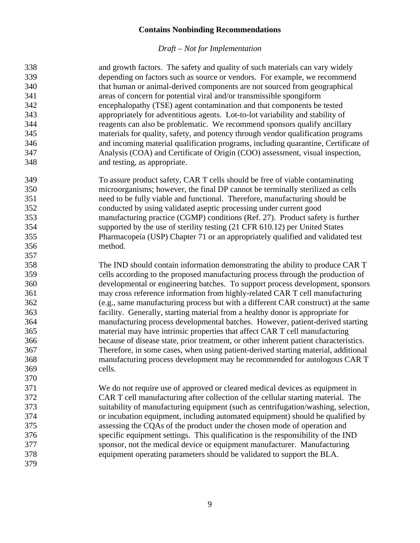| 338 | and growth factors. The safety and quality of such materials can vary widely          |
|-----|---------------------------------------------------------------------------------------|
| 339 | depending on factors such as source or vendors. For example, we recommend             |
| 340 | that human or animal-derived components are not sourced from geographical             |
| 341 | areas of concern for potential viral and/or transmissible spongiform                  |
| 342 | encephalopathy (TSE) agent contamination and that components be tested                |
| 343 | appropriately for adventitious agents. Lot-to-lot variability and stability of        |
| 344 | reagents can also be problematic. We recommend sponsors qualify ancillary             |
| 345 | materials for quality, safety, and potency through vendor qualification programs      |
| 346 | and incoming material qualification programs, including quarantine, Certificate of    |
| 347 | Analysis (COA) and Certificate of Origin (COO) assessment, visual inspection,         |
| 348 | and testing, as appropriate.                                                          |
| 349 | To assure product safety, CAR T cells should be free of viable contaminating          |
| 350 | microorganisms; however, the final DP cannot be terminally sterilized as cells        |
| 351 | need to be fully viable and functional. Therefore, manufacturing should be            |
| 352 | conducted by using validated aseptic processing under current good                    |
| 353 | manufacturing practice (CGMP) conditions (Ref. 27). Product safety is further         |
| 354 | supported by the use of sterility testing (21 CFR 610.12) per United States           |
| 355 | Pharmacopeia (USP) Chapter 71 or an appropriately qualified and validated test        |
| 356 | method.                                                                               |
| 357 |                                                                                       |
| 358 | The IND should contain information demonstrating the ability to produce CAR T         |
| 359 | cells according to the proposed manufacturing process through the production of       |
| 360 | developmental or engineering batches. To support process development, sponsors        |
| 361 | may cross reference information from highly-related CAR T cell manufacturing          |
| 362 | (e.g., same manufacturing process but with a different CAR construct) at the same     |
| 363 | facility. Generally, starting material from a healthy donor is appropriate for        |
| 364 | manufacturing process developmental batches. However, patient-derived starting        |
| 365 | material may have intrinsic properties that affect CAR T cell manufacturing           |
| 366 | because of disease state, prior treatment, or other inherent patient characteristics. |
| 367 | Therefore, in some cases, when using patient-derived starting material, additional    |
| 368 | manufacturing process development may be recommended for autologous CAR T             |
| 369 | cells.                                                                                |
| 370 |                                                                                       |
| 371 | We do not require use of approved or cleared medical devices as equipment in          |
| 372 | CAR T cell manufacturing after collection of the cellular starting material. The      |
| 373 | suitability of manufacturing equipment (such as centrifugation/washing, selection,    |
| 374 | or incubation equipment, including automated equipment) should be qualified by        |
| 375 | assessing the CQAs of the product under the chosen mode of operation and              |
| 376 | specific equipment settings. This qualification is the responsibility of the IND      |
| 377 | sponsor, not the medical device or equipment manufacturer. Manufacturing              |
| 378 | equipment operating parameters should be validated to support the BLA.                |
| 379 |                                                                                       |
|     |                                                                                       |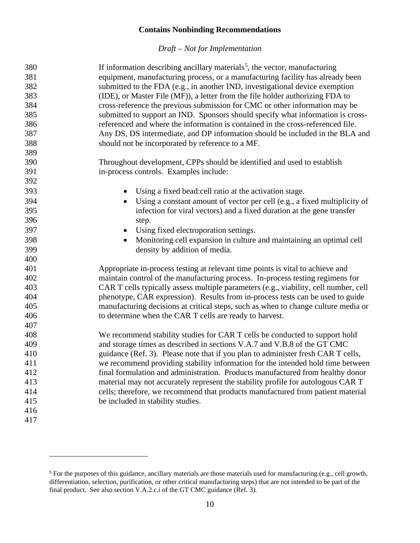| 380 | If information describing ancillary materials <sup>5</sup> , the vector, manufacturing |
|-----|----------------------------------------------------------------------------------------|
| 381 | equipment, manufacturing process, or a manufacturing facility has already been         |
| 382 | submitted to the FDA (e.g., in another IND, investigational device exemption           |
| 383 | (IDE), or Master File (MF)), a letter from the file holder authorizing FDA to          |
| 384 | cross-reference the previous submission for CMC or other information may be            |
| 385 | submitted to support an IND. Sponsors should specify what information is cross-        |
| 386 | referenced and where the information is contained in the cross-referenced file.        |
| 387 | Any DS, DS intermediate, and DP information should be included in the BLA and          |
| 388 | should not be incorporated by reference to a MF.                                       |
| 389 |                                                                                        |
| 390 | Throughout development, CPPs should be identified and used to establish                |
| 391 | in-process controls. Examples include:                                                 |
| 392 |                                                                                        |
| 393 | Using a fixed bead: cell ratio at the activation stage.<br>$\bullet$                   |
| 394 | Using a constant amount of vector per cell (e.g., a fixed multiplicity of              |
| 395 | infection for viral vectors) and a fixed duration at the gene transfer                 |
| 396 | step.                                                                                  |
| 397 | Using fixed electroporation settings.<br>$\bullet$                                     |
| 398 | Monitoring cell expansion in culture and maintaining an optimal cell                   |
| 399 | density by addition of media.                                                          |
| 400 |                                                                                        |
| 401 | Appropriate in-process testing at relevant time points is vital to achieve and         |
| 402 | maintain control of the manufacturing process. In-process testing regimens for         |
| 403 | CAR T cells typically assess multiple parameters (e.g., viability, cell number, cell   |
| 404 | phenotype, CAR expression). Results from in-process tests can be used to guide         |
| 405 | manufacturing decisions at critical steps, such as when to change culture media or     |
| 406 | to determine when the CAR T cells are ready to harvest.                                |
| 407 |                                                                                        |
| 408 | We recommend stability studies for CAR T cells be conducted to support hold            |
| 409 | and storage times as described in sections V.A.7 and V.B.8 of the GT CMC               |
| 410 | guidance (Ref. 3). Please note that if you plan to administer fresh CAR T cells,       |
| 411 | we recommend providing stability information for the intended hold time between        |
| 412 | final formulation and administration. Products manufactured from healthy donor         |
| 413 | material may not accurately represent the stability profile for autologous CAR T       |
| 414 | cells; therefore, we recommend that products manufactured from patient material        |
| 415 | be included in stability studies.                                                      |
| 416 |                                                                                        |
| 417 |                                                                                        |

<span id="page-12-1"></span><span id="page-12-0"></span><sup>&</sup>lt;sup>5</sup> For the purposes of this guidance, ancillary materials are those materials used for manufacturing (e.g., cell growth, differentiation, selection, purification, or other critical manufacturing steps) that are not intended to be part of the final product. See also section V.A.2.c.i of the GT CMC guidance (Ref. 3).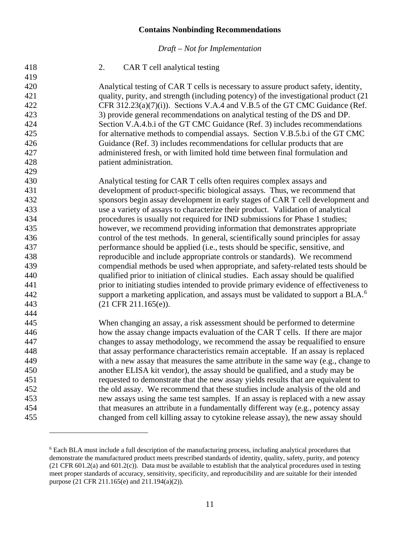| 418 | CAR T cell analytical testing<br>2.                                                          |
|-----|----------------------------------------------------------------------------------------------|
| 419 |                                                                                              |
| 420 | Analytical testing of CAR T cells is necessary to assure product safety, identity,           |
| 421 | quality, purity, and strength (including potency) of the investigational product (21         |
| 422 | CFR 312.23(a)(7)(i)). Sections V.A.4 and V.B.5 of the GT CMC Guidance (Ref.                  |
| 423 | 3) provide general recommendations on analytical testing of the DS and DP.                   |
| 424 | Section V.A.4.b.i of the GT CMC Guidance (Ref. 3) includes recommendations                   |
| 425 | for alternative methods to compendial assays. Section V.B.5.b.i of the GT CMC                |
| 426 | Guidance (Ref. 3) includes recommendations for cellular products that are                    |
| 427 | administered fresh, or with limited hold time between final formulation and                  |
| 428 | patient administration.                                                                      |
| 429 |                                                                                              |
| 430 | Analytical testing for CAR T cells often requires complex assays and                         |
| 431 | development of product-specific biological assays. Thus, we recommend that                   |
| 432 | sponsors begin assay development in early stages of CAR T cell development and               |
| 433 | use a variety of assays to characterize their product. Validation of analytical              |
| 434 | procedures is usually not required for IND submissions for Phase 1 studies;                  |
| 435 | however, we recommend providing information that demonstrates appropriate                    |
| 436 | control of the test methods. In general, scientifically sound principles for assay           |
| 437 | performance should be applied (i.e., tests should be specific, sensitive, and                |
| 438 | reproducible and include appropriate controls or standards). We recommend                    |
| 439 | compendial methods be used when appropriate, and safety-related tests should be              |
| 440 | qualified prior to initiation of clinical studies. Each assay should be qualified            |
| 441 | prior to initiating studies intended to provide primary evidence of effectiveness to         |
| 442 | support a marketing application, and assays must be validated to support a BLA. <sup>6</sup> |
| 443 | $(21$ CFR $211.165(e)$ ).                                                                    |
| 444 |                                                                                              |
| 445 | When changing an assay, a risk assessment should be performed to determine                   |
| 446 | how the assay change impacts evaluation of the CAR T cells. If there are major               |
| 447 | changes to assay methodology, we recommend the assay be requalified to ensure                |
| 448 | that assay performance characteristics remain acceptable. If an assay is replaced            |
| 449 | with a new assay that measures the same attribute in the same way (e.g., change to           |
| 450 | another ELISA kit vendor), the assay should be qualified, and a study may be                 |
| 451 | requested to demonstrate that the new assay yields results that are equivalent to            |
| 452 | the old assay. We recommend that these studies include analysis of the old and               |
| 453 | new assays using the same test samples. If an assay is replaced with a new assay             |
| 454 | that measures an attribute in a fundamentally different way (e.g., potency assay             |
| 455 | changed from cell killing assay to cytokine release assay), the new assay should             |
|     |                                                                                              |

<span id="page-13-0"></span> Each BLA must include a full description of the manufacturing process, including analytical procedures that demonstrate the manufactured product meets prescribed standards of identity, quality, safety, purity, and potency (21 CFR 601.2(a) and 601.2(c)). Data must be available to establish that the analytical procedures used in testing meet proper standards of accuracy, sensitivity, specificity, and reproducibility and are suitable for their intended purpose (21 CFR 211.165(e) and 211.194(a)(2)).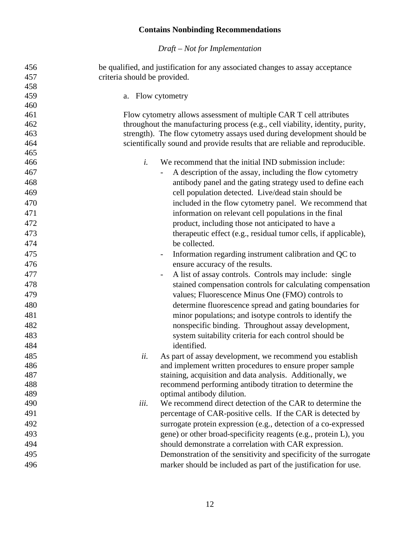| 456 | be qualified, and justification for any associated changes to assay acceptance |
|-----|--------------------------------------------------------------------------------|
| 457 | criteria should be provided.                                                   |
| 458 |                                                                                |
| 459 | a. Flow cytometry                                                              |
| 460 |                                                                                |
| 461 | Flow cytometry allows assessment of multiple CAR T cell attributes             |
| 462 | throughout the manufacturing process (e.g., cell viability, identity, purity,  |
| 463 | strength). The flow cytometry assays used during development should be         |
| 464 | scientifically sound and provide results that are reliable and reproducible.   |
| 465 |                                                                                |
| 466 | We recommend that the initial IND submission include:<br>i.                    |
| 467 | A description of the assay, including the flow cytometry                       |
| 468 | antibody panel and the gating strategy used to define each                     |
| 469 | cell population detected. Live/dead stain should be                            |
| 470 | included in the flow cytometry panel. We recommend that                        |
| 471 | information on relevant cell populations in the final                          |
| 472 | product, including those not anticipated to have a                             |
| 473 | therapeutic effect (e.g., residual tumor cells, if applicable),                |
| 474 | be collected.                                                                  |
| 475 | Information regarding instrument calibration and QC to                         |
| 476 | ensure accuracy of the results.                                                |
| 477 | A list of assay controls. Controls may include: single                         |
| 478 | stained compensation controls for calculating compensation                     |
| 479 | values; Fluorescence Minus One (FMO) controls to                               |
| 480 | determine fluorescence spread and gating boundaries for                        |
| 481 |                                                                                |
| 482 | minor populations; and isotype controls to identify the                        |
|     | nonspecific binding. Throughout assay development,                             |
| 483 | system suitability criteria for each control should be                         |
| 484 | identified.                                                                    |
| 485 | ii.<br>As part of assay development, we recommend you establish                |
| 486 | and implement written procedures to ensure proper sample                       |
| 487 | staining, acquisition and data analysis. Additionally, we                      |
| 488 | recommend performing antibody titration to determine the                       |
| 489 | optimal antibody dilution.                                                     |
| 490 | We recommend direct detection of the CAR to determine the<br>iii.              |
| 491 | percentage of CAR-positive cells. If the CAR is detected by                    |
| 492 | surrogate protein expression (e.g., detection of a co-expressed                |
| 493 | gene) or other broad-specificity reagents (e.g., protein L), you               |
| 494 | should demonstrate a correlation with CAR expression.                          |
| 495 | Demonstration of the sensitivity and specificity of the surrogate              |
| 496 | marker should be included as part of the justification for use.                |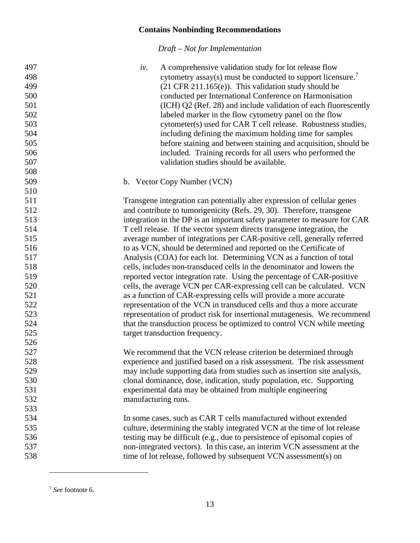<span id="page-15-0"></span>

| 497 | A comprehensive validation study for lot release flow<br>iv.              |
|-----|---------------------------------------------------------------------------|
| 498 | cytometry assay(s) must be conducted to support licensure. <sup>7</sup>   |
| 499 | $(21 \text{ CFR } 211.165(e))$ . This validation study should be          |
| 500 | conducted per International Conference on Harmonisation                   |
| 501 | (ICH) Q2 (Ref. 28) and include validation of each fluorescently           |
| 502 | labeled marker in the flow cytometry panel on the flow                    |
| 503 | cytometer(s) used for CAR T cell release. Robustness studies,             |
| 504 | including defining the maximum holding time for samples                   |
| 505 | before staining and between staining and acquisition, should be           |
| 506 | included. Training records for all users who performed the                |
| 507 | validation studies should be available.                                   |
| 508 |                                                                           |
| 509 | b. Vector Copy Number (VCN)                                               |
| 510 |                                                                           |
| 511 | Transgene integration can potentially alter expression of cellular genes  |
| 512 | and contribute to tumorigenicity (Refs. 29, 30). Therefore, transgene     |
| 513 | integration in the DP is an important safety parameter to measure for CAR |
| 514 | T cell release. If the vector system directs transgene integration, the   |
| 515 | average number of integrations per CAR-positive cell, generally referred  |
| 516 | to as VCN, should be determined and reported on the Certificate of        |
| 517 | Analysis (COA) for each lot. Determining VCN as a function of total       |
| 518 | cells, includes non-transduced cells in the denominator and lowers the    |
| 519 | reported vector integration rate. Using the percentage of CAR-positive    |
| 520 | cells, the average VCN per CAR-expressing cell can be calculated. VCN     |
| 521 | as a function of CAR-expressing cells will provide a more accurate        |
| 522 | representation of the VCN in transduced cells and thus a more accurate    |
| 523 | representation of product risk for insertional mutagenesis. We recommend  |
| 524 | that the transduction process be optimized to control VCN while meeting   |
| 525 | target transduction frequency.                                            |
| 526 |                                                                           |
| 527 | We recommend that the VCN release criterion be determined through         |
| 528 | experience and justified based on a risk assessment. The risk assessment  |
| 529 | may include supporting data from studies such as insertion site analysis, |
| 530 | clonal dominance, dose, indication, study population, etc. Supporting     |
| 531 | experimental data may be obtained from multiple engineering               |
| 532 | manufacturing runs.                                                       |
| 533 |                                                                           |
| 534 | In some cases, such as CAR T cells manufactured without extended          |
| 535 | culture, determining the stably integrated VCN at the time of lot release |
| 536 | testing may be difficult (e.g., due to persistence of episomal copies of  |
| 537 | non-integrated vectors). In this case, an interim VCN assessment at the   |
| 538 | time of lot release, followed by subsequent VCN assessment(s) on          |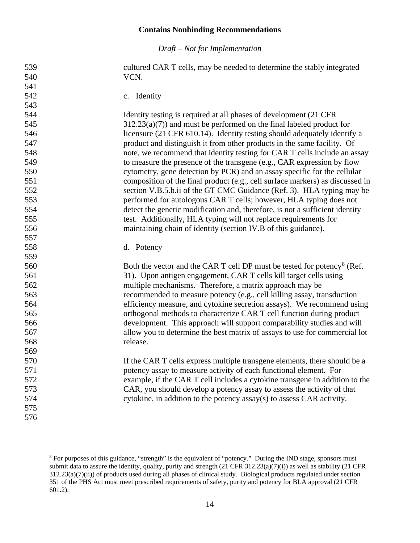*Draft – Not for Implementation*

 cultured CAR T cells, may be needed to determine the stably integrated VCN.

c. Identity

 Identity testing is required at all phases of development (21 CFR 312.23(a)(7)) and must be performed on the final labeled product for licensure (21 CFR 610.14). Identity testing should adequately identify a product and distinguish it from other products in the same facility. Of note, we recommend that identity testing for CAR T cells include an assay to measure the presence of the transgene (e.g., CAR expression by flow cytometry, gene detection by PCR) and an assay specific for the cellular composition of the final product (e.g., cell surface markers) as discussed in section V.B.5.b.ii of the GT CMC Guidance (Ref. 3). HLA typing may be performed for autologous CAR T cells; however, HLA typing does not detect the genetic modification and, therefore, is not a sufficient identity test. Additionally, HLA typing will not replace requirements for maintaining chain of identity (section IV.B of this guidance).

d. Potency

560 Both the vector and the CAR T cell DP must be tested for potency<sup>[8](#page-16-1)</sup> (Ref. 31). Upon antigen engagement, CAR T cells kill target cells using multiple mechanisms. Therefore, a matrix approach may be recommended to measure potency (e.g., cell killing assay, transduction efficiency measure, and cytokine secretion assays). We recommend using orthogonal methods to characterize CAR T cell function during product development. This approach will support comparability studies and will allow you to determine the best matrix of assays to use for commercial lot release.

**If the CAR T cells express multiple transgene elements, there should be a**  potency assay to measure activity of each functional element. For example, if the CAR T cell includes a cytokine transgene in addition to the CAR, you should develop a potency assay to assess the activity of that cytokine, in addition to the potency assay(s) to assess CAR activity.

<span id="page-16-0"></span> 

<span id="page-16-1"></span><sup>&</sup>lt;sup>8</sup> For purposes of this guidance, "strength" is the equivalent of "potency." During the IND stage, sponsors must submit data to assure the identity, quality, purity and strength  $(21 \text{ CFR } 312.23(a)(7)(i))$  as well as stability  $(21 \text{ CFR } 312.23(a)(7)(i))$ 312.23(a)(7)(ii)) of products used during all phases of clinical study. Biological products regulated under section 351 of the PHS Act must meet prescribed requirements of safety, purity and potency for BLA approval (21 CFR 601.2).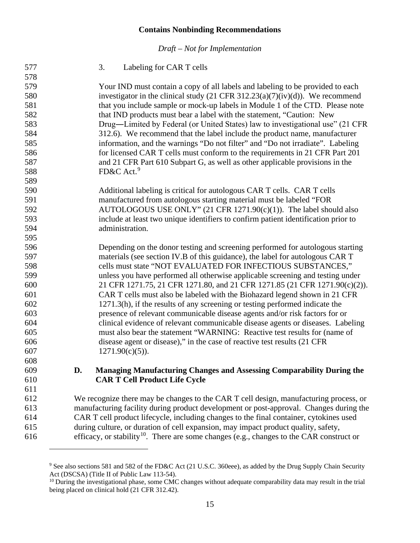*Draft – Not for Implementation*

| 577 |            | 3.<br>Labeling for CAR T cells                                                                                                                                                                                                                                                                   |
|-----|------------|--------------------------------------------------------------------------------------------------------------------------------------------------------------------------------------------------------------------------------------------------------------------------------------------------|
| 578 |            |                                                                                                                                                                                                                                                                                                  |
| 579 |            | Your IND must contain a copy of all labels and labeling to be provided to each                                                                                                                                                                                                                   |
| 580 |            | investigator in the clinical study (21 CFR $312.23(a)(7)(iv)(d)$ ). We recommend                                                                                                                                                                                                                 |
| 581 |            | that you include sample or mock-up labels in Module 1 of the CTD. Please note                                                                                                                                                                                                                    |
| 582 |            | that IND products must bear a label with the statement, "Caution: New                                                                                                                                                                                                                            |
| 583 |            | Drug—Limited by Federal (or United States) law to investigational use" (21 CFR                                                                                                                                                                                                                   |
| 584 |            | 312.6). We recommend that the label include the product name, manufacturer                                                                                                                                                                                                                       |
| 585 |            | information, and the warnings "Do not filter" and "Do not irradiate". Labeling                                                                                                                                                                                                                   |
| 586 |            | for licensed CAR T cells must conform to the requirements in 21 CFR Part 201                                                                                                                                                                                                                     |
| 587 |            | and 21 CFR Part 610 Subpart G, as well as other applicable provisions in the                                                                                                                                                                                                                     |
| 588 |            | FD&C Act. <sup>9</sup>                                                                                                                                                                                                                                                                           |
| 589 |            |                                                                                                                                                                                                                                                                                                  |
| 590 |            | Additional labeling is critical for autologous CAR T cells. CAR T cells                                                                                                                                                                                                                          |
| 591 |            | manufactured from autologous starting material must be labeled "FOR                                                                                                                                                                                                                              |
| 592 |            | AUTOLOGOUS USE ONLY" (21 CFR 1271.90(c)(1)). The label should also                                                                                                                                                                                                                               |
| 593 |            | include at least two unique identifiers to confirm patient identification prior to                                                                                                                                                                                                               |
| 594 |            | administration.                                                                                                                                                                                                                                                                                  |
| 595 |            |                                                                                                                                                                                                                                                                                                  |
| 596 |            | Depending on the donor testing and screening performed for autologous starting                                                                                                                                                                                                                   |
| 597 |            | materials (see section IV.B of this guidance), the label for autologous CAR T                                                                                                                                                                                                                    |
| 598 |            | cells must state "NOT EVALUATED FOR INFECTIOUS SUBSTANCES,"                                                                                                                                                                                                                                      |
| 599 |            | unless you have performed all otherwise applicable screening and testing under                                                                                                                                                                                                                   |
| 600 |            | 21 CFR 1271.75, 21 CFR 1271.80, and 21 CFR 1271.85 (21 CFR 1271.90(c)(2)).                                                                                                                                                                                                                       |
| 601 |            | CAR T cells must also be labeled with the Biohazard legend shown in 21 CFR                                                                                                                                                                                                                       |
| 602 |            | 1271.3(h), if the results of any screening or testing performed indicate the                                                                                                                                                                                                                     |
| 603 |            | presence of relevant communicable disease agents and/or risk factors for or                                                                                                                                                                                                                      |
| 604 |            | clinical evidence of relevant communicable disease agents or diseases. Labeling                                                                                                                                                                                                                  |
| 605 |            | must also bear the statement "WARNING: Reactive test results for (name of                                                                                                                                                                                                                        |
| 606 |            | disease agent or disease)," in the case of reactive test results (21 CFR                                                                                                                                                                                                                         |
| 607 |            | $1271.90(c)(5)$ ).                                                                                                                                                                                                                                                                               |
| 608 |            |                                                                                                                                                                                                                                                                                                  |
| 609 | D.         | <b>Managing Manufacturing Changes and Assessing Comparability During the</b>                                                                                                                                                                                                                     |
| 610 |            | <b>CAR T Cell Product Life Cycle</b>                                                                                                                                                                                                                                                             |
| 611 |            |                                                                                                                                                                                                                                                                                                  |
| 210 | <b>TTT</b> | $\mathbf{A}$ and $\mathbf{A}$ and $\mathbf{A}$ and $\mathbf{A}$ and $\mathbf{A}$ and $\mathbf{A}$ and $\mathbf{A}$ and $\mathbf{A}$ and $\mathbf{A}$ and $\mathbf{A}$ and $\mathbf{A}$ and $\mathbf{A}$ and $\mathbf{A}$ and $\mathbf{A}$ and $\mathbf{A}$ and $\mathbf{A}$ and $\mathbf{A}$ and |

<span id="page-17-0"></span> We recognize there may be changes to the CAR T cell design, manufacturing process, or manufacturing facility during product development or post-approval. Changes during the CAR T cell product lifecycle, including changes to the final container, cytokines used during culture, or duration of cell expansion, may impact product quality, safety,

<span id="page-17-1"></span><sup>616</sup> efficacy, or stability<sup>[10](#page-17-2)</sup>. There are some changes (e.g., changes to the CAR construct or

<sup>&</sup>lt;sup>9</sup> See also sections 581 and 582 of the FD&C Act (21 U.S.C. 360eee), as added by the Drug Supply Chain Security Act (DSCSA) (Title II of Public Law 113-54).

<span id="page-17-2"></span> During the investigational phase, some CMC changes without adequate comparability data may result in the trial being placed on clinical hold (21 CFR 312.42).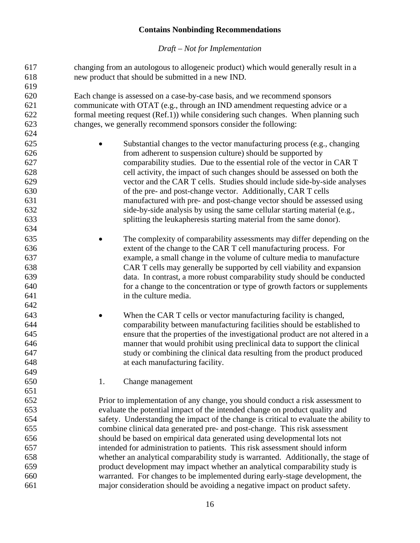<span id="page-18-0"></span>

| 617 | changing from an autologous to allogeneic product) which would generally result in a  |
|-----|---------------------------------------------------------------------------------------|
| 618 | new product that should be submitted in a new IND.                                    |
| 619 |                                                                                       |
| 620 | Each change is assessed on a case-by-case basis, and we recommend sponsors            |
| 621 | communicate with OTAT (e.g., through an IND amendment requesting advice or a          |
| 622 | formal meeting request (Ref.1)) while considering such changes. When planning such    |
| 623 | changes, we generally recommend sponsors consider the following:                      |
| 624 |                                                                                       |
| 625 | Substantial changes to the vector manufacturing process (e.g., changing               |
| 626 | from adherent to suspension culture) should be supported by                           |
| 627 | comparability studies. Due to the essential role of the vector in CAR T               |
| 628 | cell activity, the impact of such changes should be assessed on both the              |
| 629 | vector and the CAR T cells. Studies should include side-by-side analyses              |
| 630 | of the pre- and post-change vector. Additionally, CAR T cells                         |
| 631 | manufactured with pre- and post-change vector should be assessed using                |
| 632 | side-by-side analysis by using the same cellular starting material (e.g.,             |
| 633 | splitting the leukapheresis starting material from the same donor).                   |
| 634 |                                                                                       |
| 635 | The complexity of comparability assessments may differ depending on the               |
| 636 | extent of the change to the CAR T cell manufacturing process. For                     |
| 637 | example, a small change in the volume of culture media to manufacture                 |
| 638 | CAR T cells may generally be supported by cell viability and expansion                |
| 639 | data. In contrast, a more robust comparability study should be conducted              |
| 640 | for a change to the concentration or type of growth factors or supplements            |
| 641 | in the culture media.                                                                 |
| 642 |                                                                                       |
| 643 | When the CAR T cells or vector manufacturing facility is changed,                     |
| 644 | comparability between manufacturing facilities should be established to               |
| 645 | ensure that the properties of the investigational product are not altered in a        |
| 646 | manner that would prohibit using preclinical data to support the clinical             |
| 647 | study or combining the clinical data resulting from the product produced              |
| 648 | at each manufacturing facility.                                                       |
| 649 |                                                                                       |
| 650 | 1.<br>Change management                                                               |
| 651 |                                                                                       |
| 652 | Prior to implementation of any change, you should conduct a risk assessment to        |
| 653 | evaluate the potential impact of the intended change on product quality and           |
| 654 | safety. Understanding the impact of the change is critical to evaluate the ability to |
| 655 | combine clinical data generated pre- and post-change. This risk assessment            |
| 656 | should be based on empirical data generated using developmental lots not              |
| 657 | intended for administration to patients. This risk assessment should inform           |
| 658 | whether an analytical comparability study is warranted. Additionally, the stage of    |
| 659 | product development may impact whether an analytical comparability study is           |
| 660 | warranted. For changes to be implemented during early-stage development, the          |
| 661 | major consideration should be avoiding a negative impact on product safety.           |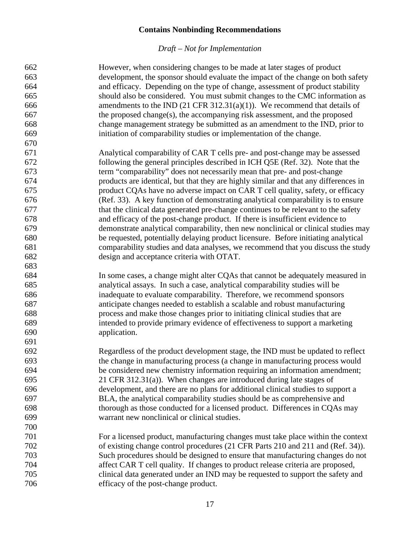| 662 | However, when considering changes to be made at later stages of product              |
|-----|--------------------------------------------------------------------------------------|
| 663 | development, the sponsor should evaluate the impact of the change on both safety     |
| 664 | and efficacy. Depending on the type of change, assessment of product stability       |
| 665 | should also be considered. You must submit changes to the CMC information as         |
| 666 | amendments to the IND (21 CFR 312.31(a)(1)). We recommend that details of            |
| 667 | the proposed change(s), the accompanying risk assessment, and the proposed           |
| 668 | change management strategy be submitted as an amendment to the IND, prior to         |
| 669 | initiation of comparability studies or implementation of the change.                 |
| 670 |                                                                                      |
| 671 | Analytical comparability of CAR T cells pre- and post-change may be assessed         |
| 672 | following the general principles described in ICH Q5E (Ref. 32). Note that the       |
| 673 | term "comparability" does not necessarily mean that pre- and post-change             |
| 674 | products are identical, but that they are highly similar and that any differences in |
| 675 | product CQAs have no adverse impact on CAR T cell quality, safety, or efficacy       |
| 676 | (Ref. 33). A key function of demonstrating analytical comparability is to ensure     |
| 677 | that the clinical data generated pre-change continues to be relevant to the safety   |
| 678 | and efficacy of the post-change product. If there is insufficient evidence to        |
| 679 | demonstrate analytical comparability, then new nonclinical or clinical studies may   |
| 680 | be requested, potentially delaying product licensure. Before initiating analytical   |
| 681 | comparability studies and data analyses, we recommend that you discuss the study     |
| 682 | design and acceptance criteria with OTAT.                                            |
| 683 |                                                                                      |
| 684 | In some cases, a change might alter CQAs that cannot be adequately measured in       |
| 685 | analytical assays. In such a case, analytical comparability studies will be          |
| 686 | inadequate to evaluate comparability. Therefore, we recommend sponsors               |
| 687 | anticipate changes needed to establish a scalable and robust manufacturing           |
| 688 | process and make those changes prior to initiating clinical studies that are         |
| 689 | intended to provide primary evidence of effectiveness to support a marketing         |
| 690 | application.                                                                         |
| 691 |                                                                                      |
| 692 | Regardless of the product development stage, the IND must be updated to reflect      |
| 693 | the change in manufacturing process (a change in manufacturing process would         |
| 694 | be considered new chemistry information requiring an information amendment;          |
| 695 | 21 CFR 312.31(a)). When changes are introduced during late stages of                 |
| 696 | development, and there are no plans for additional clinical studies to support a     |
| 697 | BLA, the analytical comparability studies should be as comprehensive and             |
| 698 | thorough as those conducted for a licensed product. Differences in CQAs may          |
| 699 | warrant new nonclinical or clinical studies.                                         |
| 700 |                                                                                      |
| 701 | For a licensed product, manufacturing changes must take place within the context     |
| 702 | of existing change control procedures (21 CFR Parts 210 and 211 and (Ref. 34)).      |
| 703 | Such procedures should be designed to ensure that manufacturing changes do not       |
| 704 | affect CAR T cell quality. If changes to product release criteria are proposed,      |
| 705 | clinical data generated under an IND may be requested to support the safety and      |
| 706 | efficacy of the post-change product.                                                 |
|     |                                                                                      |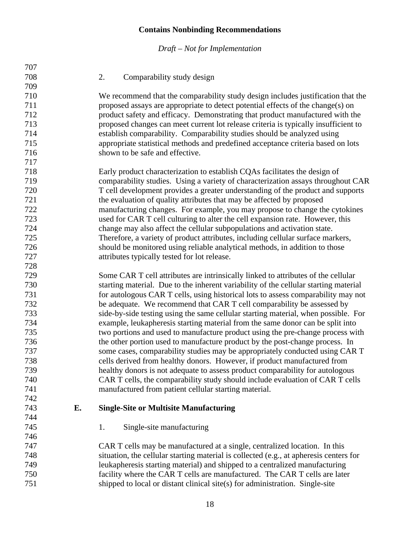*Draft – Not for Implementation*

<span id="page-20-0"></span>

| 707 |    |                                                                                        |
|-----|----|----------------------------------------------------------------------------------------|
| 708 |    | 2.<br>Comparability study design                                                       |
| 709 |    |                                                                                        |
| 710 |    | We recommend that the comparability study design includes justification that the       |
| 711 |    | proposed assays are appropriate to detect potential effects of the change(s) on        |
| 712 |    | product safety and efficacy. Demonstrating that product manufactured with the          |
| 713 |    | proposed changes can meet current lot release criteria is typically insufficient to    |
| 714 |    | establish comparability. Comparability studies should be analyzed using                |
| 715 |    | appropriate statistical methods and predefined acceptance criteria based on lots       |
| 716 |    | shown to be safe and effective.                                                        |
| 717 |    |                                                                                        |
| 718 |    | Early product characterization to establish CQAs facilitates the design of             |
| 719 |    | comparability studies. Using a variety of characterization assays throughout CAR       |
| 720 |    | T cell development provides a greater understanding of the product and supports        |
| 721 |    | the evaluation of quality attributes that may be affected by proposed                  |
| 722 |    | manufacturing changes. For example, you may propose to change the cytokines            |
| 723 |    | used for CAR T cell culturing to alter the cell expansion rate. However, this          |
| 724 |    | change may also affect the cellular subpopulations and activation state.               |
| 725 |    | Therefore, a variety of product attributes, including cellular surface markers,        |
| 726 |    | should be monitored using reliable analytical methods, in addition to those            |
| 727 |    | attributes typically tested for lot release.                                           |
| 728 |    |                                                                                        |
| 729 |    | Some CAR T cell attributes are intrinsically linked to attributes of the cellular      |
| 730 |    | starting material. Due to the inherent variability of the cellular starting material   |
| 731 |    | for autologous CAR T cells, using historical lots to assess comparability may not      |
| 732 |    | be adequate. We recommend that CAR T cell comparability be assessed by                 |
| 733 |    | side-by-side testing using the same cellular starting material, when possible. For     |
| 734 |    | example, leukapheresis starting material from the same donor can be split into         |
| 735 |    | two portions and used to manufacture product using the pre-change process with         |
| 736 |    | the other portion used to manufacture product by the post-change process. In           |
| 737 |    | some cases, comparability studies may be appropriately conducted using CAR T           |
| 738 |    | cells derived from healthy donors. However, if product manufactured from               |
| 739 |    | healthy donors is not adequate to assess product comparability for autologous          |
| 740 |    | CAR T cells, the comparability study should include evaluation of CAR T cells          |
| 741 |    | manufactured from patient cellular starting material.                                  |
| 742 |    |                                                                                        |
| 743 | Е. | <b>Single-Site or Multisite Manufacturing</b>                                          |
| 744 |    |                                                                                        |
| 745 |    | 1.<br>Single-site manufacturing                                                        |
| 746 |    |                                                                                        |
| 747 |    | CAR T cells may be manufactured at a single, centralized location. In this             |
| 748 |    | situation, the cellular starting material is collected (e.g., at apheresis centers for |
| 749 |    | leukapheresis starting material) and shipped to a centralized manufacturing            |
| 750 |    | facility where the CAR T cells are manufactured. The CAR T cells are later             |

<span id="page-20-2"></span><span id="page-20-1"></span>shipped to local or distant clinical site(s) for administration. Single-site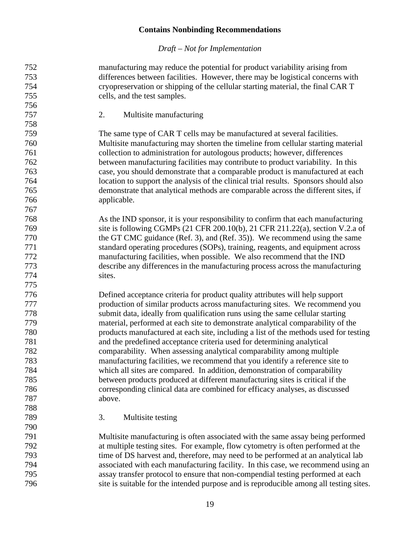#### *Draft – Not for Implementation*

 manufacturing may reduce the potential for product variability arising from differences between facilities. However, there may be logistical concerns with cryopreservation or shipping of the cellular starting material, the final CAR T cells, and the test samples.

<span id="page-21-0"></span>2. Multisite manufacturing

 The same type of CAR T cells may be manufactured at several facilities. Multisite manufacturing may shorten the timeline from cellular starting material collection to administration for autologous products; however, differences between manufacturing facilities may contribute to product variability. In this case, you should demonstrate that a comparable product is manufactured at each location to support the analysis of the clinical trial results. Sponsors should also demonstrate that analytical methods are comparable across the different sites, if applicable.

 As the IND sponsor, it is your responsibility to confirm that each manufacturing site is following CGMPs (21 CFR 200.10(b), 21 CFR 211.22(a), section V.2.a of the GT CMC guidance (Ref. 3), and (Ref. 35)). We recommend using the same standard operating procedures (SOPs), training, reagents, and equipment across manufacturing facilities, when possible. We also recommend that the IND describe any differences in the manufacturing process across the manufacturing sites.

 Defined acceptance criteria for product quality attributes will help support production of similar products across manufacturing sites. We recommend you submit data, ideally from qualification runs using the same cellular starting material, performed at each site to demonstrate analytical comparability of the products manufactured at each site, including a list of the methods used for testing and the predefined acceptance criteria used for determining analytical comparability. When assessing analytical comparability among multiple manufacturing facilities, we recommend that you identify a reference site to which all sites are compared. In addition, demonstration of comparability between products produced at different manufacturing sites is critical if the corresponding clinical data are combined for efficacy analyses, as discussed above.

<span id="page-21-1"></span>3. Multisite testing

 Multisite manufacturing is often associated with the same assay being performed at multiple testing sites. For example, flow cytometry is often performed at the time of DS harvest and, therefore, may need to be performed at an analytical lab associated with each manufacturing facility. In this case, we recommend using an assay transfer protocol to ensure that non-compendial testing performed at each site is suitable for the intended purpose and is reproducible among all testing sites.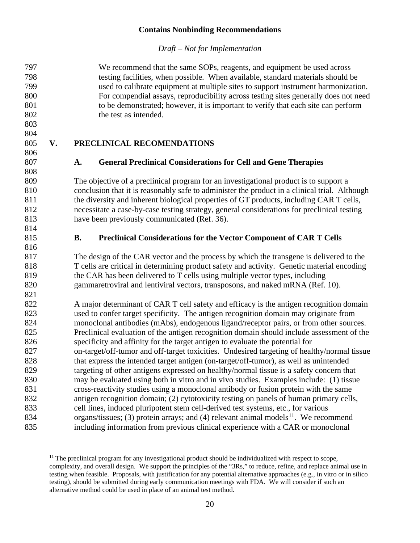*Draft – Not for Implementation*

 We recommend that the same SOPs, reagents, and equipment be used across testing facilities, when possible. When available, standard materials should be used to calibrate equipment at multiple sites to support instrument harmonization. For compendial assays, reproducibility across testing sites generally does not need to be demonstrated; however, it is important to verify that each site can perform 802 the test as intended.

 

### <span id="page-22-0"></span>**V. PRECLINICAL RECOMENDATIONS**

### <span id="page-22-1"></span>**A. General Preclinical Considerations for Cell and Gene Therapies**

 The objective of a preclinical program for an investigational product is to support a conclusion that it is reasonably safe to administer the product in a clinical trial. Although 811 the diversity and inherent biological properties of GT products, including CAR T cells, necessitate a case-by-case testing strategy, general considerations for preclinical testing have been previously communicated (Ref. 36).

#### <span id="page-22-2"></span>**B. Preclinical Considerations for the Vector Component of CAR T Cells**

 The design of the CAR vector and the process by which the transgene is delivered to the T cells are critical in determining product safety and activity. Genetic material encoding the CAR has been delivered to T cells using multiple vector types, including gammaretroviral and lentiviral vectors, transposons, and naked mRNA (Ref. 10).

 A major determinant of CAR T cell safety and efficacy is the antigen recognition domain used to confer target specificity. The antigen recognition domain may originate from monoclonal antibodies (mAbs), endogenous ligand/receptor pairs, or from other sources. Preclinical evaluation of the antigen recognition domain should include assessment of the specificity and affinity for the target antigen to evaluate the potential for on-target/off-tumor and off-target toxicities. Undesired targeting of healthy/normal tissue that express the intended target antigen (on-target/off-tumor), as well as unintended targeting of other antigens expressed on healthy/normal tissue is a safety concern that may be evaluated using both in vitro and in vivo studies. Examples include: (1) tissue cross-reactivity studies using a monoclonal antibody or fusion protein with the same antigen recognition domain; (2) cytotoxicity testing on panels of human primary cells, cell lines, induced pluripotent stem cell-derived test systems, etc., for various 834 organs/tissues; (3) protein arrays; and (4) relevant animal models<sup>[11](#page-22-3)</sup>. We recommend including information from previous clinical experience with a CAR or monoclonal

<span id="page-22-3"></span> The preclinical program for any investigational product should be individualized with respect to scope, complexity, and overall design. We support the principles of the "3Rs," to reduce, refine, and replace animal use in testing when feasible. Proposals, with justification for any potential alternative approaches (e.g., in vitro or in silico testing), should be submitted during early communication meetings with FDA. We will consider if such an alternative method could be used in place of an animal test method.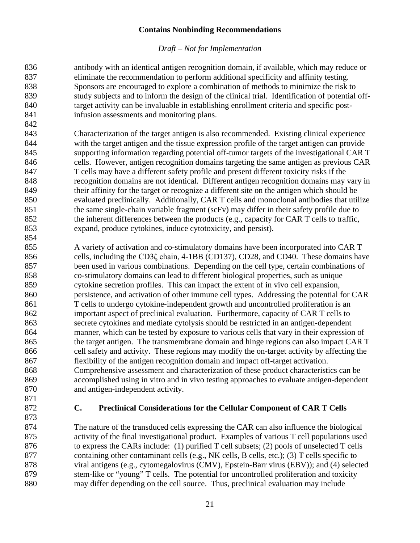#### *Draft – Not for Implementation*

 antibody with an identical antigen recognition domain, if available, which may reduce or eliminate the recommendation to perform additional specificity and affinity testing. Sponsors are encouraged to explore a combination of methods to minimize the risk to study subjects and to inform the design of the clinical trial. Identification of potential off-840 target activity can be invaluable in establishing enrollment criteria and specific post- infusion assessments and monitoring plans. 

- Characterization of the target antigen is also recommended. Existing clinical experience with the target antigen and the tissue expression profile of the target antigen can provide supporting information regarding potential off-tumor targets of the investigational CAR T cells. However, antigen recognition domains targeting the same antigen as previous CAR T cells may have a different safety profile and present different toxicity risks if the recognition domains are not identical. Different antigen recognition domains may vary in their affinity for the target or recognize a different site on the antigen which should be 850 evaluated preclinically. Additionally, CAR T cells and monoclonal antibodies that utilize 851 the same single-chain variable fragment (scFv) may differ in their safety profile due to 852 the inherent differences between the products (e.g., capacity for CAR T cells to traffic, expand, produce cytokines, induce cytotoxicity, and persist).
- A variety of activation and co-stimulatory domains have been incorporated into CAR T cells, including the CD3ζ chain, 4-1BB (CD137), CD28, and CD40. These domains have been used in various combinations. Depending on the cell type, certain combinations of co-stimulatory domains can lead to different biological properties, such as unique cytokine secretion profiles. This can impact the extent of in vivo cell expansion, persistence, and activation of other immune cell types. Addressing the potential for CAR T cells to undergo cytokine-independent growth and uncontrolled proliferation is an important aspect of preclinical evaluation. Furthermore, capacity of CAR T cells to secrete cytokines and mediate cytolysis should be restricted in an antigen-dependent manner, which can be tested by exposure to various cells that vary in their expression of the target antigen. The transmembrane domain and hinge regions can also impact CAR T cell safety and activity. These regions may modify the on-target activity by affecting the flexibility of the antigen recognition domain and impact off-target activation. Comprehensive assessment and characterization of these product characteristics can be accomplished using in vitro and in vivo testing approaches to evaluate antigen-dependent and antigen-independent activity.
- 

### <span id="page-23-0"></span>**C. Preclinical Considerations for the Cellular Component of CAR T Cells**

 The nature of the transduced cells expressing the CAR can also influence the biological activity of the final investigational product. Examples of various T cell populations used to express the CARs include: (1) purified T cell subsets; (2) pools of unselected T cells containing other contaminant cells (e.g., NK cells, B cells, etc.); (3) T cells specific to viral antigens (e.g., cytomegalovirus (CMV), Epstein-Barr virus (EBV)); and (4) selected 879 stem-like or "young" T cells. The potential for uncontrolled proliferation and toxicity may differ depending on the cell source. Thus, preclinical evaluation may include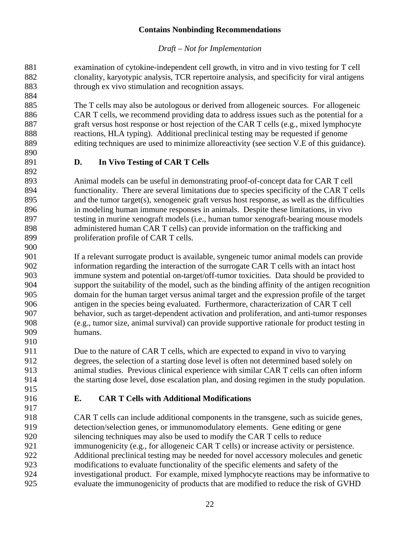### *Draft – Not for Implementation*

 examination of cytokine-independent cell growth, in vitro and in vivo testing for T cell clonality, karyotypic analysis, TCR repertoire analysis, and specificity for viral antigens through ex vivo stimulation and recognition assays. 

 The T cells may also be autologous or derived from allogeneic sources. For allogeneic 886 CAR T cells, we recommend providing data to address issues such as the potential for a graft versus host response or host rejection of the CAR T cells (e.g., mixed lymphocyte reactions, HLA typing). Additional preclinical testing may be requested if genome editing techniques are used to minimize alloreactivity (see section V.E of this guidance).

## <span id="page-24-0"></span>**D. In Vivo Testing of CAR T Cells**

 Animal models can be useful in demonstrating proof-of-concept data for CAR T cell functionality. There are several limitations due to species specificity of the CAR T cells and the tumor target(s), xenogeneic graft versus host response, as well as the difficulties in modeling human immune responses in animals. Despite these limitations, in vivo testing in murine xenograft models (i.e., human tumor xenograft-bearing mouse models administered human CAR T cells) can provide information on the trafficking and proliferation profile of CAR T cells.

 If a relevant surrogate product is available, syngeneic tumor animal models can provide information regarding the interaction of the surrogate CAR T cells with an intact host immune system and potential on-target/off-tumor toxicities. Data should be provided to support the suitability of the model, such as the binding affinity of the antigen recognition domain for the human target versus animal target and the expression profile of the target antigen in the species being evaluated. Furthermore, characterization of CAR T cell behavior, such as target-dependent activation and proliferation, and anti-tumor responses (e.g., tumor size, animal survival) can provide supportive rationale for product testing in humans. 

 Due to the nature of CAR T cells, which are expected to expand in vivo to varying degrees, the selection of a starting dose level is often not determined based solely on animal studies. Previous clinical experience with similar CAR T cells can often inform the starting dose level, dose escalation plan, and dosing regimen in the study population.

### <span id="page-24-1"></span>**E. CAR T Cells with Additional Modifications**

 CAR T cells can include additional components in the transgene, such as suicide genes, detection/selection genes, or immunomodulatory elements. Gene editing or gene silencing techniques may also be used to modify the CAR T cells to reduce immunogenicity (e.g., for allogeneic CAR T cells) or increase activity or persistence. Additional preclinical testing may be needed for novel accessory molecules and genetic modifications to evaluate functionality of the specific elements and safety of the investigational product. For example, mixed lymphocyte reactions may be informative to evaluate the immunogenicity of products that are modified to reduce the risk of GVHD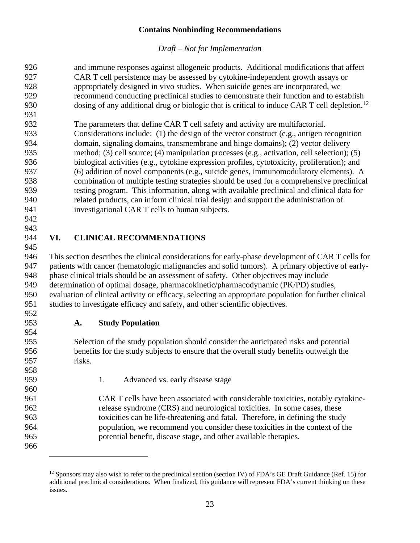<span id="page-25-0"></span>

| 926                                                                                                             | and immune responses against allogeneic products. Additional modifications that affect |
|-----------------------------------------------------------------------------------------------------------------|----------------------------------------------------------------------------------------|
| 927<br>CAR T cell persistence may be assessed by cytokine-independent growth assays or                          |                                                                                        |
| 928<br>appropriately designed in vivo studies. When suicide genes are incorporated, we                          |                                                                                        |
| recommend conducting preclinical studies to demonstrate their function and to establish<br>929                  |                                                                                        |
| 930<br>dosing of any additional drug or biologic that is critical to induce CAR T cell depletion. <sup>12</sup> |                                                                                        |
| 931                                                                                                             |                                                                                        |
| 932<br>The parameters that define CAR T cell safety and activity are multifactorial.                            |                                                                                        |
| 933<br>Considerations include: (1) the design of the vector construct (e.g., antigen recognition                |                                                                                        |
| 934<br>domain, signaling domains, transmembrane and hinge domains); (2) vector delivery                         |                                                                                        |
| 935<br>method; (3) cell source; (4) manipulation processes (e.g., activation, cell selection); (5)              |                                                                                        |
| biological activities (e.g., cytokine expression profiles, cytotoxicity, proliferation); and<br>936             |                                                                                        |
| 937<br>(6) addition of novel components (e.g., suicide genes, immunomodulatory elements). A                     |                                                                                        |
| combination of multiple testing strategies should be used for a comprehensive preclinical<br>938                |                                                                                        |
| testing program. This information, along with available preclinical and clinical data for<br>939                |                                                                                        |
| 940<br>related products, can inform clinical trial design and support the administration of                     |                                                                                        |
| 941<br>investigational CAR T cells to human subjects.                                                           |                                                                                        |
| 942                                                                                                             |                                                                                        |
| 943                                                                                                             |                                                                                        |
| 944<br><b>CLINICAL RECOMMENDATIONS</b><br>VI.                                                                   |                                                                                        |
| 945                                                                                                             |                                                                                        |
|                                                                                                                 |                                                                                        |
| 946                                                                                                             |                                                                                        |
| This section describes the clinical considerations for early-phase development of CAR T cells for<br>947        |                                                                                        |
| patients with cancer (hematologic malignancies and solid tumors). A primary objective of early-                 |                                                                                        |
| 948<br>phase clinical trials should be an assessment of safety. Other objectives may include<br>949             |                                                                                        |
| determination of optimal dosage, pharmacokinetic/pharmacodynamic (PK/PD) studies,                               |                                                                                        |
| 950<br>evaluation of clinical activity or efficacy, selecting an appropriate population for further clinical    |                                                                                        |
| 951<br>studies to investigate efficacy and safety, and other scientific objectives.                             |                                                                                        |
| 952                                                                                                             |                                                                                        |
| 953<br><b>Study Population</b><br>A.                                                                            |                                                                                        |
| 954<br>955                                                                                                      |                                                                                        |
| Selection of the study population should consider the anticipated risks and potential<br>956                    |                                                                                        |
| benefits for the study subjects to ensure that the overall study benefits outweigh the<br>957<br>risks.         |                                                                                        |
|                                                                                                                 |                                                                                        |
| 958<br>959<br>1.<br>Advanced vs. early disease stage                                                            |                                                                                        |
| 960                                                                                                             |                                                                                        |
| 961<br>CAR T cells have been associated with considerable toxicities, notably cytokine-                         |                                                                                        |
| 962<br>release syndrome (CRS) and neurological toxicities. In some cases, these                                 |                                                                                        |
| 963<br>toxicities can be life-threatening and fatal. Therefore, in defining the study                           |                                                                                        |
| 964<br>population, we recommend you consider these toxicities in the context of the                             |                                                                                        |
| 965<br>potential benefit, disease stage, and other available therapies.                                         |                                                                                        |

<span id="page-25-3"></span><span id="page-25-2"></span><span id="page-25-1"></span><sup>&</sup>lt;sup>12</sup> Sponsors may also wish to refer to the preclinical section (section IV) of FDA's GE Draft Guidance (Ref. 15) for additional preclinical considerations. When finalized, this guidance will represent FDA's current thinking on these issues.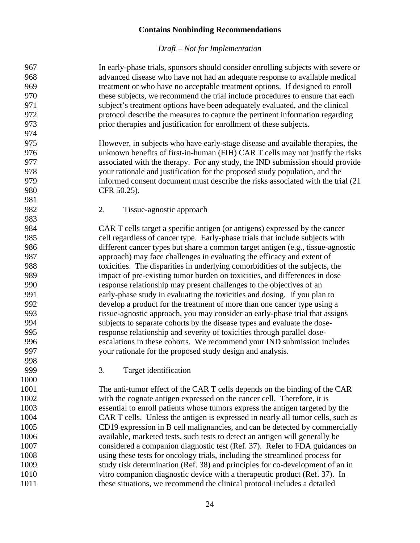<span id="page-26-1"></span><span id="page-26-0"></span>

| 967  | In early-phase trials, sponsors should consider enrolling subjects with severe or |
|------|-----------------------------------------------------------------------------------|
| 968  | advanced disease who have not had an adequate response to available medical       |
| 969  | treatment or who have no acceptable treatment options. If designed to enroll      |
| 970  | these subjects, we recommend the trial include procedures to ensure that each     |
| 971  | subject's treatment options have been adequately evaluated, and the clinical      |
| 972  | protocol describe the measures to capture the pertinent information regarding     |
| 973  | prior therapies and justification for enrollment of these subjects.               |
| 974  |                                                                                   |
| 975  | However, in subjects who have early-stage disease and available therapies, the    |
| 976  | unknown benefits of first-in-human (FIH) CAR T cells may not justify the risks    |
| 977  | associated with the therapy. For any study, the IND submission should provide     |
| 978  | your rationale and justification for the proposed study population, and the       |
| 979  | informed consent document must describe the risks associated with the trial (21)  |
| 980  | CFR 50.25).                                                                       |
| 981  |                                                                                   |
| 982  | 2.<br>Tissue-agnostic approach                                                    |
| 983  |                                                                                   |
| 984  | CAR T cells target a specific antigen (or antigens) expressed by the cancer       |
| 985  | cell regardless of cancer type. Early-phase trials that include subjects with     |
| 986  | different cancer types but share a common target antigen (e.g., tissue-agnostic   |
| 987  | approach) may face challenges in evaluating the efficacy and extent of            |
| 988  | toxicities. The disparities in underlying comorbidities of the subjects, the      |
| 989  | impact of pre-existing tumor burden on toxicities, and differences in dose        |
| 990  | response relationship may present challenges to the objectives of an              |
| 991  | early-phase study in evaluating the toxicities and dosing. If you plan to         |
| 992  | develop a product for the treatment of more than one cancer type using a          |
| 993  | tissue-agnostic approach, you may consider an early-phase trial that assigns      |
| 994  | subjects to separate cohorts by the disease types and evaluate the dose-          |
| 995  | response relationship and severity of toxicities through parallel dose-           |
| 996  | escalations in these cohorts. We recommend your IND submission includes           |
| 997  | your rationale for the proposed study design and analysis.                        |
| 998  |                                                                                   |
| 999  | Target identification<br>3.                                                       |
| 1000 |                                                                                   |
| 1001 | The anti-tumor effect of the CAR T cells depends on the binding of the CAR        |
| 1002 | with the cognate antigen expressed on the cancer cell. Therefore, it is           |
| 1003 | essential to enroll patients whose tumors express the antigen targeted by the     |
| 1004 | CAR T cells. Unless the antigen is expressed in nearly all tumor cells, such as   |
| 1005 | CD19 expression in B cell malignancies, and can be detected by commercially       |
| 1006 | available, marketed tests, such tests to detect an antigen will generally be      |
| 1007 | considered a companion diagnostic test (Ref. 37). Refer to FDA guidances on       |
| 1008 | using these tests for oncology trials, including the streamlined process for      |
| 1009 | study risk determination (Ref. 38) and principles for co-development of an in     |
| 1010 | vitro companion diagnostic device with a therapeutic product (Ref. 37). In        |
| 1011 | these situations, we recommend the clinical protocol includes a detailed          |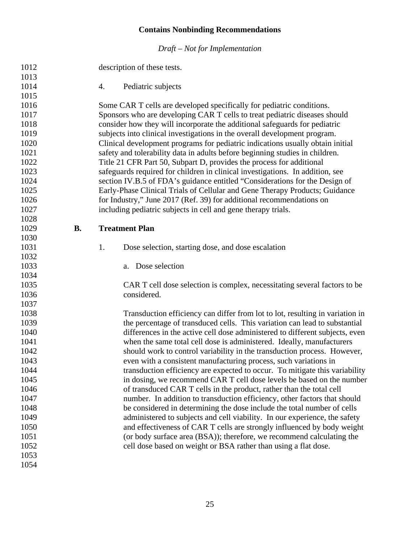<span id="page-27-2"></span><span id="page-27-1"></span><span id="page-27-0"></span>

| 1012 |           | description of these tests.                                                    |
|------|-----------|--------------------------------------------------------------------------------|
| 1013 |           |                                                                                |
| 1014 |           | 4.<br>Pediatric subjects                                                       |
| 1015 |           |                                                                                |
| 1016 |           | Some CAR T cells are developed specifically for pediatric conditions.          |
| 1017 |           | Sponsors who are developing CAR T cells to treat pediatric diseases should     |
| 1018 |           | consider how they will incorporate the additional safeguards for pediatric     |
| 1019 |           | subjects into clinical investigations in the overall development program.      |
| 1020 |           | Clinical development programs for pediatric indications usually obtain initial |
| 1021 |           | safety and tolerability data in adults before beginning studies in children.   |
| 1022 |           | Title 21 CFR Part 50, Subpart D, provides the process for additional           |
| 1023 |           | safeguards required for children in clinical investigations. In addition, see  |
| 1024 |           | section IV.B.5 of FDA's guidance entitled "Considerations for the Design of    |
| 1025 |           | Early-Phase Clinical Trials of Cellular and Gene Therapy Products; Guidance    |
| 1026 |           | for Industry," June 2017 (Ref. 39) for additional recommendations on           |
| 1027 |           | including pediatric subjects in cell and gene therapy trials.                  |
| 1028 |           |                                                                                |
| 1029 | <b>B.</b> | <b>Treatment Plan</b>                                                          |
| 1030 |           |                                                                                |
| 1031 |           | 1.<br>Dose selection, starting dose, and dose escalation                       |
| 1032 |           |                                                                                |
| 1033 |           | a. Dose selection                                                              |
| 1034 |           |                                                                                |
| 1035 |           | CAR T cell dose selection is complex, necessitating several factors to be      |
| 1036 |           | considered.                                                                    |
| 1037 |           |                                                                                |
| 1038 |           | Transduction efficiency can differ from lot to lot, resulting in variation in  |
| 1039 |           | the percentage of transduced cells. This variation can lead to substantial     |
| 1040 |           | differences in the active cell dose administered to different subjects, even   |
| 1041 |           | when the same total cell dose is administered. Ideally, manufacturers          |
| 1042 |           | should work to control variability in the transduction process. However,       |
| 1043 |           | even with a consistent manufacturing process, such variations in               |
| 1044 |           | transduction efficiency are expected to occur. To mitigate this variability    |
| 1045 |           | in dosing, we recommend CAR T cell dose levels be based on the number          |
| 1046 |           | of transduced CAR T cells in the product, rather than the total cell           |
| 1047 |           | number. In addition to transduction efficiency, other factors that should      |
| 1048 |           | be considered in determining the dose include the total number of cells        |
| 1049 |           | administered to subjects and cell viability. In our experience, the safety     |
| 1050 |           | and effectiveness of CAR T cells are strongly influenced by body weight        |
| 1051 |           | (or body surface area (BSA)); therefore, we recommend calculating the          |
| 1052 |           | cell dose based on weight or BSA rather than using a flat dose.                |
| 1053 |           |                                                                                |
| 1054 |           |                                                                                |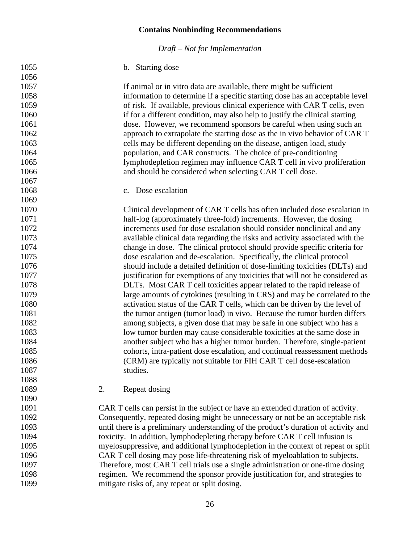*Draft – Not for Implementation*

#### b. Starting dose

<span id="page-28-0"></span> 1057 If animal or in vitro data are available, there might be sufficient<br>1058 information to determine if a specific starting dose has an accent information to determine if a specific starting dose has an acceptable level of risk. If available, previous clinical experience with CAR T cells, even if for a different condition, may also help to justify the clinical starting dose. However, we recommend sponsors be careful when using such an approach to extrapolate the starting dose as the in vivo behavior of CAR T cells may be different depending on the disease, antigen load, study population, and CAR constructs. The choice of pre-conditioning lymphodepletion regimen may influence CAR T cell in vivo proliferation and should be considered when selecting CAR T cell dose. c. Dose escalation Clinical development of CAR T cells has often included dose escalation in half-log (approximately three-fold) increments. However, the dosing increments used for dose escalation should consider nonclinical and any available clinical data regarding the risks and activity associated with the change in dose. The clinical protocol should provide specific criteria for dose escalation and de-escalation. Specifically, the clinical protocol should include a detailed definition of dose-limiting toxicities (DLTs) and justification for exemptions of any toxicities that will not be considered as DLTs. Most CAR T cell toxicities appear related to the rapid release of large amounts of cytokines (resulting in CRS) and may be correlated to the activation status of the CAR T cells, which can be driven by the level of the tumor antigen (tumor load) in vivo. Because the tumor burden differs among subjects, a given dose that may be safe in one subject who has a low tumor burden may cause considerable toxicities at the same dose in another subject who has a higher tumor burden. Therefore, single-patient cohorts, intra-patient dose escalation, and continual reassessment methods (CRM) are typically not suitable for FIH CAR T cell dose-escalation 1087 studies. 2. Repeat dosing CAR T cells can persist in the subject or have an extended duration of activity. Consequently, repeated dosing might be unnecessary or not be an acceptable risk until there is a preliminary understanding of the product's duration of activity and toxicity. In addition, lymphodepleting therapy before CAR T cell infusion is myelosuppressive, and additional lymphodepletion in the context of repeat or split CAR T cell dosing may pose life-threatening risk of myeloablation to subjects. Therefore, most CAR T cell trials use a single administration or one-time dosing regimen. We recommend the sponsor provide justification for, and strategies to mitigate risks of, any repeat or split dosing.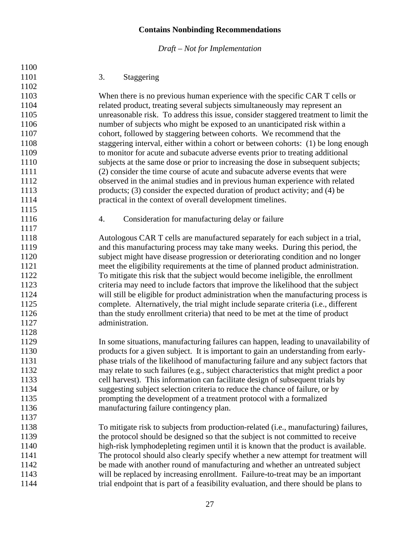<span id="page-29-1"></span><span id="page-29-0"></span>

| 1100 |                                                                                       |
|------|---------------------------------------------------------------------------------------|
| 1101 | 3.<br>Staggering                                                                      |
| 1102 |                                                                                       |
| 1103 | When there is no previous human experience with the specific CAR T cells or           |
| 1104 | related product, treating several subjects simultaneously may represent an            |
| 1105 | unreasonable risk. To address this issue, consider staggered treatment to limit the   |
| 1106 | number of subjects who might be exposed to an unanticipated risk within a             |
| 1107 | cohort, followed by staggering between cohorts. We recommend that the                 |
| 1108 | staggering interval, either within a cohort or between cohorts: (1) be long enough    |
| 1109 | to monitor for acute and subacute adverse events prior to treating additional         |
| 1110 | subjects at the same dose or prior to increasing the dose in subsequent subjects;     |
| 1111 | (2) consider the time course of acute and subacute adverse events that were           |
| 1112 | observed in the animal studies and in previous human experience with related          |
| 1113 | products; (3) consider the expected duration of product activity; and (4) be          |
| 1114 | practical in the context of overall development timelines.                            |
| 1115 |                                                                                       |
| 1116 | Consideration for manufacturing delay or failure<br>4.                                |
| 1117 |                                                                                       |
| 1118 | Autologous CAR T cells are manufactured separately for each subject in a trial,       |
| 1119 | and this manufacturing process may take many weeks. During this period, the           |
| 1120 | subject might have disease progression or deteriorating condition and no longer       |
| 1121 | meet the eligibility requirements at the time of planned product administration.      |
| 1122 | To mitigate this risk that the subject would become ineligible, the enrollment        |
| 1123 | criteria may need to include factors that improve the likelihood that the subject     |
| 1124 | will still be eligible for product administration when the manufacturing process is   |
| 1125 | complete. Alternatively, the trial might include separate criteria (i.e., different   |
| 1126 | than the study enrollment criteria) that need to be met at the time of product        |
| 1127 | administration.                                                                       |
| 1128 |                                                                                       |
| 1129 | In some situations, manufacturing failures can happen, leading to unavailability of   |
| 1130 | products for a given subject. It is important to gain an understanding from early-    |
| 1131 | phase trials of the likelihood of manufacturing failure and any subject factors that  |
| 1132 | may relate to such failures (e.g., subject characteristics that might predict a poor  |
| 1133 | cell harvest). This information can facilitate design of subsequent trials by         |
| 1134 | suggesting subject selection criteria to reduce the chance of failure, or by          |
| 1135 | prompting the development of a treatment protocol with a formalized                   |
| 1136 | manufacturing failure contingency plan.                                               |
| 1137 |                                                                                       |
| 1138 | To mitigate risk to subjects from production-related (i.e., manufacturing) failures,  |
| 1139 | the protocol should be designed so that the subject is not committed to receive       |
| 1140 | high-risk lymphodepleting regimen until it is known that the product is available.    |
| 1141 | The protocol should also clearly specify whether a new attempt for treatment will     |
| 1142 | be made with another round of manufacturing and whether an untreated subject          |
| 1143 | will be replaced by increasing enrollment. Failure-to-treat may be an important       |
| 1144 | trial endpoint that is part of a feasibility evaluation, and there should be plans to |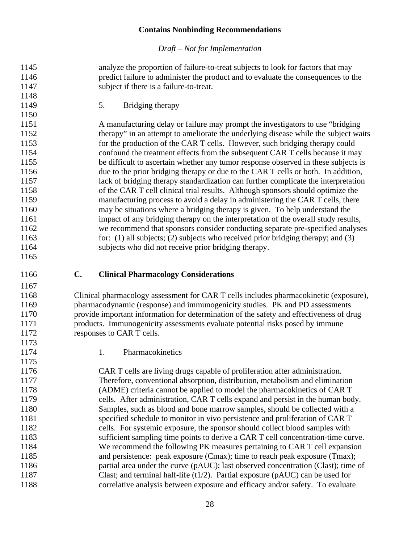*Draft – Not for Implementation*

<span id="page-30-0"></span> analyze the proportion of failure-to-treat subjects to look for factors that may predict failure to administer the product and to evaluate the consequences to the subject if there is a failure-to-treat. 1149 5. Bridging therapy A manufacturing delay or failure may prompt the investigators to use "bridging 1152 therapy" in an attempt to ameliorate the underlying disease while the subject waits for the production of the CAR T cells. However, such bridging therapy could confound the treatment effects from the subsequent CAR T cells because it may 1155 be difficult to ascertain whether any tumor response observed in these subjects is due to the prior bridging therapy or due to the CAR T cells or both. In addition, lack of bridging therapy standardization can further complicate the interpretation of the CAR T cell clinical trial results. Although sponsors should optimize the manufacturing process to avoid a delay in administering the CAR T cells, there may be situations where a bridging therapy is given. To help understand the impact of any bridging therapy on the interpretation of the overall study results, we recommend that sponsors consider conducting separate pre-specified analyses for: (1) all subjects; (2) subjects who received prior bridging therapy; and (3) 1164 subjects who did not receive prior bridging therapy. **C. Clinical Pharmacology Considerations** Clinical pharmacology assessment for CAR T cells includes pharmacokinetic (exposure), pharmacodynamic (response) and immunogenicity studies. PK and PD assessments provide important information for determination of the safety and effectiveness of drug products. Immunogenicity assessments evaluate potential risks posed by immune

<span id="page-30-2"></span>1174 1. Pharmacokinetics

<span id="page-30-1"></span>1172 responses to CAR T cells.

 CAR T cells are living drugs capable of proliferation after administration. Therefore, conventional absorption, distribution, metabolism and elimination (ADME) criteria cannot be applied to model the pharmacokinetics of CAR T cells. After administration, CAR T cells expand and persist in the human body. Samples, such as blood and bone marrow samples, should be collected with a 1181 specified schedule to monitor in vivo persistence and proliferation of CAR T cells. For systemic exposure, the sponsor should collect blood samples with sufficient sampling time points to derive a CAR T cell concentration-time curve. We recommend the following PK measures pertaining to CAR T cell expansion and persistence: peak exposure (Cmax); time to reach peak exposure (Tmax); partial area under the curve (pAUC); last observed concentration (Clast); time of Clast; and terminal half-life (t1/2). Partial exposure (pAUC) can be used for correlative analysis between exposure and efficacy and/or safety. To evaluate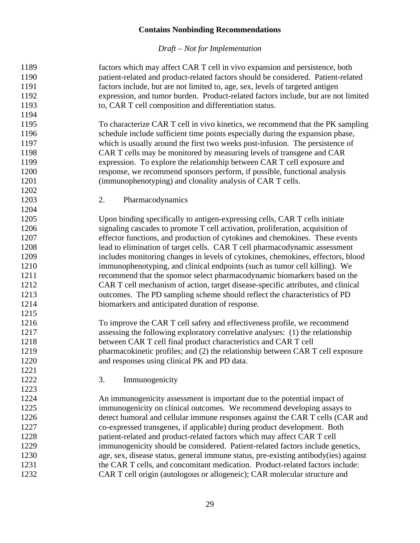<span id="page-31-1"></span><span id="page-31-0"></span>

| 1189 | factors which may affect CAR T cell in vivo expansion and persistence, both         |
|------|-------------------------------------------------------------------------------------|
| 1190 | patient-related and product-related factors should be considered. Patient-related   |
| 1191 | factors include, but are not limited to, age, sex, levels of targeted antigen       |
| 1192 | expression, and tumor burden. Product-related factors include, but are not limited  |
| 1193 | to, CAR T cell composition and differentiation status.                              |
| 1194 |                                                                                     |
| 1195 | To characterize CAR T cell in vivo kinetics, we recommend that the PK sampling      |
| 1196 | schedule include sufficient time points especially during the expansion phase,      |
| 1197 | which is usually around the first two weeks post-infusion. The persistence of       |
| 1198 | CAR T cells may be monitored by measuring levels of transgene and CAR               |
| 1199 | expression. To explore the relationship between CAR T cell exposure and             |
| 1200 | response, we recommend sponsors perform, if possible, functional analysis           |
| 1201 | (immunophenotyping) and clonality analysis of CAR T cells.                          |
| 1202 |                                                                                     |
| 1203 | 2.<br>Pharmacodynamics                                                              |
| 1204 |                                                                                     |
| 1205 | Upon binding specifically to antigen-expressing cells, CAR T cells initiate         |
| 1206 | signaling cascades to promote T cell activation, proliferation, acquisition of      |
| 1207 | effector functions, and production of cytokines and chemokines. These events        |
| 1208 | lead to elimination of target cells. CAR T cell pharmacodynamic assessment          |
| 1209 | includes monitoring changes in levels of cytokines, chemokines, effectors, blood    |
| 1210 | immunophenotyping, and clinical endpoints (such as tumor cell killing). We          |
| 1211 | recommend that the sponsor select pharmacodynamic biomarkers based on the           |
| 1212 | CAR T cell mechanism of action, target disease-specific attributes, and clinical    |
| 1213 | outcomes. The PD sampling scheme should reflect the characteristics of PD           |
| 1214 | biomarkers and anticipated duration of response.                                    |
| 1215 |                                                                                     |
| 1216 | To improve the CAR T cell safety and effectiveness profile, we recommend            |
| 1217 | assessing the following exploratory correlative analyses: (1) the relationship      |
| 1218 | between CAR T cell final product characteristics and CAR T cell                     |
| 1219 | pharmacokinetic profiles; and (2) the relationship between CAR T cell exposure      |
| 1220 | and responses using clinical PK and PD data.                                        |
| 1221 |                                                                                     |
| 1222 | 3.<br>Immunogenicity                                                                |
| 1223 |                                                                                     |
| 1224 | An immunogenicity assessment is important due to the potential impact of            |
| 1225 | immunogenicity on clinical outcomes. We recommend developing assays to              |
| 1226 | detect humoral and cellular immune responses against the CAR T cells (CAR and       |
| 1227 | co-expressed transgenes, if applicable) during product development. Both            |
| 1228 | patient-related and product-related factors which may affect CAR T cell             |
| 1229 | immunogenicity should be considered. Patient-related factors include genetics,      |
| 1230 | age, sex, disease status, general immune status, pre-existing antibody(ies) against |
| 1231 | the CAR T cells, and concomitant medication. Product-related factors include:       |
| 1232 | CAR T cell origin (autologous or allogeneic); CAR molecular structure and           |
|      |                                                                                     |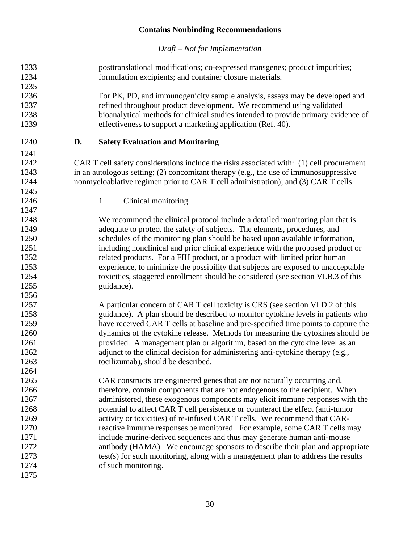<span id="page-32-1"></span><span id="page-32-0"></span>

| 1233 |    | posttranslational modifications; co-expressed transgenes; product impurities;            |
|------|----|------------------------------------------------------------------------------------------|
| 1234 |    | formulation excipients; and container closure materials.                                 |
| 1235 |    |                                                                                          |
| 1236 |    | For PK, PD, and immunogenicity sample analysis, assays may be developed and              |
| 1237 |    | refined throughout product development. We recommend using validated                     |
| 1238 |    | bioanalytical methods for clinical studies intended to provide primary evidence of       |
| 1239 |    | effectiveness to support a marketing application (Ref. 40).                              |
| 1240 | D. | <b>Safety Evaluation and Monitoring</b>                                                  |
| 1241 |    |                                                                                          |
| 1242 |    | CAR T cell safety considerations include the risks associated with: (1) cell procurement |
| 1243 |    | in an autologous setting; (2) concomitant therapy (e.g., the use of immunosuppressive    |
| 1244 |    | nonmyeloablative regimen prior to CAR T cell administration); and (3) CAR T cells.       |
| 1245 |    |                                                                                          |
| 1246 |    | 1.<br>Clinical monitoring                                                                |
| 1247 |    |                                                                                          |
| 1248 |    | We recommend the clinical protocol include a detailed monitoring plan that is            |
| 1249 |    | adequate to protect the safety of subjects. The elements, procedures, and                |
| 1250 |    | schedules of the monitoring plan should be based upon available information,             |
| 1251 |    | including nonclinical and prior clinical experience with the proposed product or         |
| 1252 |    | related products. For a FIH product, or a product with limited prior human               |
| 1253 |    | experience, to minimize the possibility that subjects are exposed to unacceptable        |
| 1254 |    | toxicities, staggered enrollment should be considered (see section VI.B.3 of this        |
| 1255 |    | guidance).                                                                               |
| 1256 |    |                                                                                          |
| 1257 |    | A particular concern of CAR T cell toxicity is CRS (see section VI.D.2 of this           |
| 1258 |    | guidance). A plan should be described to monitor cytokine levels in patients who         |
| 1259 |    | have received CAR T cells at baseline and pre-specified time points to capture the       |
| 1260 |    | dynamics of the cytokine release. Methods for measuring the cytokines should be          |
| 1261 |    | provided. A management plan or algorithm, based on the cytokine level as an              |
| 1262 |    | adjunct to the clinical decision for administering anti-cytokine therapy (e.g.,          |
| 1263 |    | tocilizumab), should be described.                                                       |
| 1264 |    |                                                                                          |
| 1265 |    | CAR constructs are engineered genes that are not naturally occurring and,                |
| 1266 |    | therefore, contain components that are not endogenous to the recipient. When             |
| 1267 |    | administered, these exogenous components may elicit immune responses with the            |
| 1268 |    | potential to affect CAR T cell persistence or counteract the effect (anti-tumor          |
| 1269 |    | activity or toxicities) of re-infused CAR T cells. We recommend that CAR-                |
| 1270 |    | reactive immune responses be monitored. For example, some CAR T cells may                |
| 1271 |    | include murine-derived sequences and thus may generate human anti-mouse                  |
| 1272 |    | antibody (HAMA). We encourage sponsors to describe their plan and appropriate            |
| 1273 |    | test(s) for such monitoring, along with a management plan to address the results         |
| 1274 |    | of such monitoring.                                                                      |
| 1275 |    |                                                                                          |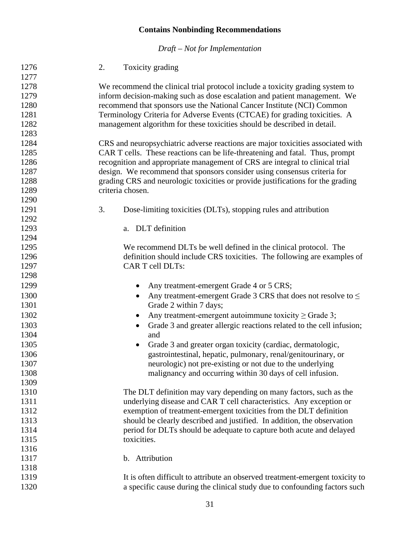*Draft – Not for Implementation*

<span id="page-33-1"></span><span id="page-33-0"></span> 2. Toxicity grading We recommend the clinical trial protocol include a toxicity grading system to inform decision-making such as dose escalation and patient management. We recommend that sponsors use the National Cancer Institute (NCI) Common Terminology Criteria for Adverse Events (CTCAE) for grading toxicities. A management algorithm for these toxicities should be described in detail. CRS and neuropsychiatric adverse reactions are major toxicities associated with CAR T cells. These reactions can be life-threatening and fatal. Thus, prompt recognition and appropriate management of CRS are integral to clinical trial design. We recommend that sponsors consider using consensus criteria for grading CRS and neurologic toxicities or provide justifications for the grading criteria chosen. 3. Dose-limiting toxicities (DLTs), stopping rules and attribution a. DLT definition We recommend DLTs be well defined in the clinical protocol. The definition should include CRS toxicities. The following are examples of CAR T cell DLTs: 1299 • Any treatment-emergent Grade 4 or 5 CRS; 1300 • Any treatment-emergent Grade 3 CRS that does not resolve to ≤ 1301 Grade 2 within 7 days; • Any treatment-emergent autoimmune toxicity ≥ Grade 3; • Grade 3 and greater allergic reactions related to the cell infusion; and • Grade 3 and greater organ toxicity (cardiac, dermatologic, gastrointestinal, hepatic, pulmonary, renal/genitourinary, or neurologic) not pre-existing or not due to the underlying malignancy and occurring within 30 days of cell infusion. The DLT definition may vary depending on many factors, such as the underlying disease and CAR T cell characteristics. Any exception or exemption of treatment-emergent toxicities from the DLT definition should be clearly described and justified. In addition, the observation period for DLTs should be adequate to capture both acute and delayed 1315 toxicities. b. Attribution It is often difficult to attribute an observed treatment-emergent toxicity to a specific cause during the clinical study due to confounding factors such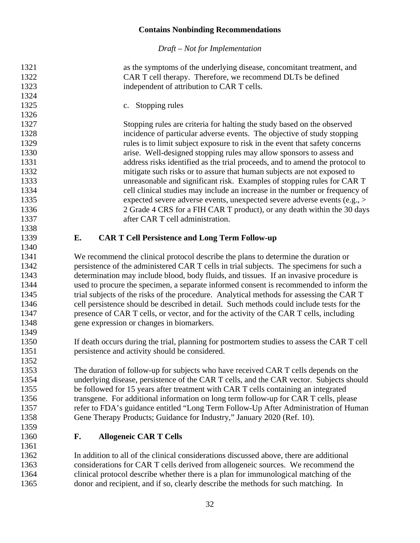*Draft – Not for Implementation*

<span id="page-34-0"></span> as the symptoms of the underlying disease, concomitant treatment, and CAR T cell therapy. Therefore, we recommend DLTs be defined 1323 independent of attribution to CAR T cells. c. Stopping rules Stopping rules are criteria for halting the study based on the observed incidence of particular adverse events. The objective of study stopping rules is to limit subject exposure to risk in the event that safety concerns arise. Well-designed stopping rules may allow sponsors to assess and address risks identified as the trial proceeds, and to amend the protocol to mitigate such risks or to assure that human subjects are not exposed to unreasonable and significant risk. Examples of stopping rules for CAR T cell clinical studies may include an increase in the number or frequency of expected severe adverse events, unexpected severe adverse events (e.g., > 2 Grade 4 CRS for a FIH CAR T product), or any death within the 30 days **after CAR T cell administration. E. CAR T Cell Persistence and Long Term Follow-up** We recommend the clinical protocol describe the plans to determine the duration or persistence of the administered CAR T cells in trial subjects. The specimens for such a determination may include blood, body fluids, and tissues. If an invasive procedure is used to procure the specimen, a separate informed consent is recommended to inform the 1345 trial subjects of the risks of the procedure. Analytical methods for assessing the CAR T cell persistence should be described in detail. Such methods could include tests for the presence of CAR T cells, or vector, and for the activity of the CAR T cells, including gene expression or changes in biomarkers. If death occurs during the trial, planning for postmortem studies to assess the CAR T cell persistence and activity should be considered. The duration of follow-up for subjects who have received CAR T cells depends on the underlying disease, persistence of the CAR T cells, and the CAR vector. Subjects should be followed for 15 years after treatment with CAR T cells containing an integrated transgene. For additional information on long term follow-up for CAR T cells, please refer to FDA's guidance entitled "Long Term Follow-Up After Administration of Human Gene Therapy Products; Guidance for Industry," January 2020 (Ref. 10). **F. Allogeneic CAR T Cells**  In addition to all of the clinical considerations discussed above, there are additional

<span id="page-34-1"></span> considerations for CAR T cells derived from allogeneic sources. We recommend the clinical protocol describe whether there is a plan for immunological matching of the donor and recipient, and if so, clearly describe the methods for such matching. In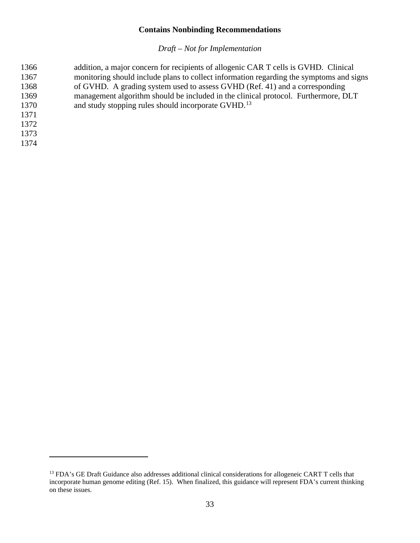| 1366 | addition, a major concern for recipients of allogenic CAR T cells is GVHD. Clinical     |
|------|-----------------------------------------------------------------------------------------|
| 1367 | monitoring should include plans to collect information regarding the symptoms and signs |
| 1368 | of GVHD. A grading system used to assess GVHD (Ref. 41) and a corresponding             |
| 1369 | management algorithm should be included in the clinical protocol. Furthermore, DLT      |
| 1370 | and study stopping rules should incorporate GVHD. <sup>13</sup>                         |
| 1371 |                                                                                         |
| 1372 |                                                                                         |
| 1373 |                                                                                         |
| 1374 |                                                                                         |
|      |                                                                                         |

<span id="page-35-0"></span><sup>&</sup>lt;sup>13</sup> FDA's GE Draft Guidance also addresses additional clinical considerations for allogeneic CART T cells that incorporate human genome editing (Ref. 15). When finalized, this guidance will represent FDA's current thinking on these issues.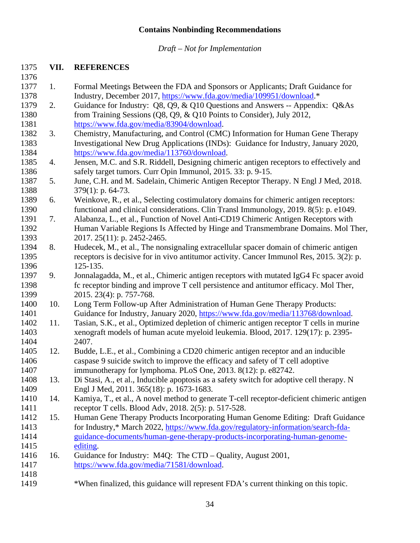*Draft – Not for Implementation*

#### <span id="page-36-0"></span>**VII. REFERENCES**

- 1. Formal Meetings Between the FDA and Sponsors or Applicants; Draft Guidance for Industry, December 2017, [https://www.fda.gov/media/109951/download.](https://www.fda.gov/media/109951/download)\* 2. Guidance for Industry: Q8, Q9, & Q10 Questions and Answers -- Appendix: Q&As from Training Sessions (Q8, Q9, & Q10 Points to Consider), July 2012, [https://www.fda.gov/media/83904/download.](https://www.fda.gov/media/83904/download) 3. Chemistry, Manufacturing, and Control (CMC) Information for Human Gene Therapy Investigational New Drug Applications (INDs): Guidance for Industry, January 2020, [https://www.fda.gov/media/113760/download.](https://www.fda.gov/media/113760/download) 4. Jensen, M.C. and S.R. Riddell, Designing chimeric antigen receptors to effectively and safely target tumors. Curr Opin Immunol, 2015. 33: p. 9-15. 5. June, C.H. and M. Sadelain, Chimeric Antigen Receptor Therapy. N Engl J Med, 2018. 1388 379(1): p. 64-73. 6. Weinkove, R., et al., Selecting costimulatory domains for chimeric antigen receptors: functional and clinical considerations. Clin Transl Immunology, 2019. 8(5): p. e1049. 7. Alabanza, L., et al., Function of Novel Anti-CD19 Chimeric Antigen Receptors with Human Variable Regions Is Affected by Hinge and Transmembrane Domains. Mol Ther, 2017. 25(11): p. 2452-2465. 8. Hudecek, M., et al., The nonsignaling extracellular spacer domain of chimeric antigen receptors is decisive for in vivo antitumor activity. Cancer Immunol Res, 2015. 3(2): p. 125-135. 9. Jonnalagadda, M., et al., Chimeric antigen receptors with mutated IgG4 Fc spacer avoid fc receptor binding and improve T cell persistence and antitumor efficacy. Mol Ther, 1399 2015. 23(4): p. 757-768. 10. Long Term Follow-up After Administration of Human Gene Therapy Products: Guidance for Industry, January 2020, [https://www.fda.gov/media/113768/download.](https://www.fda.gov/media/113768/download) 11. Tasian, S.K., et al., Optimized depletion of chimeric antigen receptor T cells in murine xenograft models of human acute myeloid leukemia. Blood, 2017. 129(17): p. 2395- 2407. 12. Budde, L.E., et al., Combining a CD20 chimeric antigen receptor and an inducible caspase 9 suicide switch to improve the efficacy and safety of T cell adoptive immunotherapy for lymphoma. PLoS One, 2013. 8(12): p. e82742. 13. Di Stasi, A., et al., Inducible apoptosis as a safety switch for adoptive cell therapy. N Engl J Med, 2011. 365(18): p. 1673-1683. 14. Kamiya, T., et al., A novel method to generate T-cell receptor-deficient chimeric antigen receptor T cells. Blood Adv, 2018. 2(5): p. 517-528. 15. Human Gene Therapy Products Incorporating Human Genome Editing: Draft Guidance for Industry,\* March 2022, [https://www.fda.gov/regulatory-information/search-fda-](https://www.fda.gov/regulatory-information/search-fda-guidance-documents/human-gene-therapy-products-incorporating-human-genome-editing) [guidance-documents/human-gene-therapy-products-incorporating-human-genome-](https://www.fda.gov/regulatory-information/search-fda-guidance-documents/human-gene-therapy-products-incorporating-human-genome-editing) [editing.](https://www.fda.gov/regulatory-information/search-fda-guidance-documents/human-gene-therapy-products-incorporating-human-genome-editing) 16. Guidance for Industry: M4Q: The CTD – Quality, August 2001, [https://www.fda.gov/media/71581/download.](https://www.fda.gov/media/71581/download)
- \*When finalized, this guidance will represent FDA's current thinking on this topic.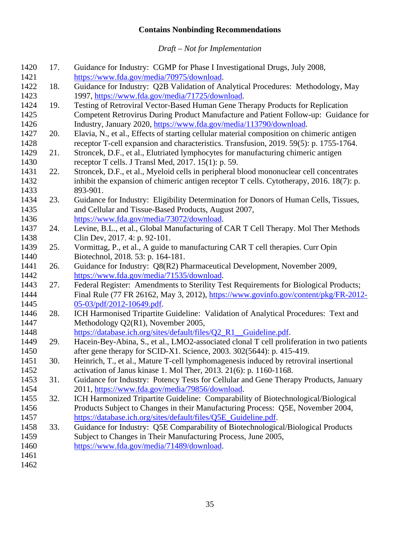| 17. | Guidance for Industry: CGMP for Phase I Investigational Drugs, July 2008,                 |
|-----|-------------------------------------------------------------------------------------------|
|     | https://www.fda.gov/media/70975/download.                                                 |
| 18. | Guidance for Industry: Q2B Validation of Analytical Procedures: Methodology, May          |
|     | 1997, https://www.fda.gov/media/71725/download.                                           |
| 19. | Testing of Retroviral Vector-Based Human Gene Therapy Products for Replication            |
|     | Competent Retrovirus During Product Manufacture and Patient Follow-up: Guidance for       |
|     | Industry, January 2020, https://www.fda.gov/media/113790/download.                        |
| 20. | Elavia, N., et al., Effects of starting cellular material composition on chimeric antigen |
|     | receptor T-cell expansion and characteristics. Transfusion, 2019. 59(5): p. 1755-1764.    |
| 21. | Stroncek, D.F., et al., Elutriated lymphocytes for manufacturing chimeric antigen         |
|     | receptor T cells. J Transl Med, 2017. 15(1): p. 59.                                       |
| 22. | Stroncek, D.F., et al., Myeloid cells in peripheral blood mononuclear cell concentrates   |
|     | inhibit the expansion of chimeric antigen receptor T cells. Cytotherapy, 2016. 18(7): p.  |
|     | 893-901.                                                                                  |
|     | Guidance for Industry: Eligibility Determination for Donors of Human Cells, Tissues,      |
|     | and Cellular and Tissue-Based Products, August 2007,                                      |
|     | https://www.fda.gov/media/73072/download.                                                 |
|     | Levine, B.L., et al., Global Manufacturing of CAR T Cell Therapy. Mol Ther Methods        |
|     | Clin Dev, 2017. 4: p. 92-101.                                                             |
|     | Vormittag, P., et al., A guide to manufacturing CAR T cell therapies. Curr Opin           |
|     | Biotechnol, 2018. 53: p. 164-181.                                                         |
| 26. | Guidance for Industry: Q8(R2) Pharmaceutical Development, November 2009,                  |
|     | https://www.fda.gov/media/71535/download.                                                 |
| 27. | Federal Register: Amendments to Sterility Test Requirements for Biological Products;      |
|     | Final Rule (77 FR 26162, May 3, 2012), https://www.govinfo.gov/content/pkg/FR-2012-       |
|     | $05-03$ /pdf/2012-10649.pdf.                                                              |
| 28. | ICH Harmonised Tripartite Guideline: Validation of Analytical Procedures: Text and        |
|     | Methodology Q2(R1), November 2005,                                                        |
|     | https://database.ich.org/sites/default/files/Q2_R1_Guideline.pdf.                         |
| 29. | Hacein-Bey-Abina, S., et al., LMO2-associated clonal T cell proliferation in two patients |
|     | after gene therapy for SCID-X1. Science, 2003. 302(5644): p. 415-419.                     |
| 30. | Heinrich, T., et al., Mature T-cell lymphomagenesis induced by retroviral insertional     |
|     | activation of Janus kinase 1. Mol Ther, 2013. 21(6): p. 1160-1168.                        |
|     | Guidance for Industry: Potency Tests for Cellular and Gene Therapy Products, January      |
|     | 2011, https://www.fda.gov/media/79856/download.                                           |
|     | ICH Harmonized Tripartite Guideline: Comparability of Biotechnological/Biological         |
|     | Products Subject to Changes in their Manufacturing Process: Q5E, November 2004,           |
|     | https://database.ich.org/sites/default/files/Q5E_Guideline.pdf.                           |
| 33. | Guidance for Industry: Q5E Comparability of Biotechnological/Biological Products          |
|     | Subject to Changes in Their Manufacturing Process, June 2005,                             |
|     | https://www.fda.gov/media/71489/download.                                                 |
|     |                                                                                           |
|     |                                                                                           |
|     | 23.<br>24.<br>25.<br>31.<br>32.                                                           |